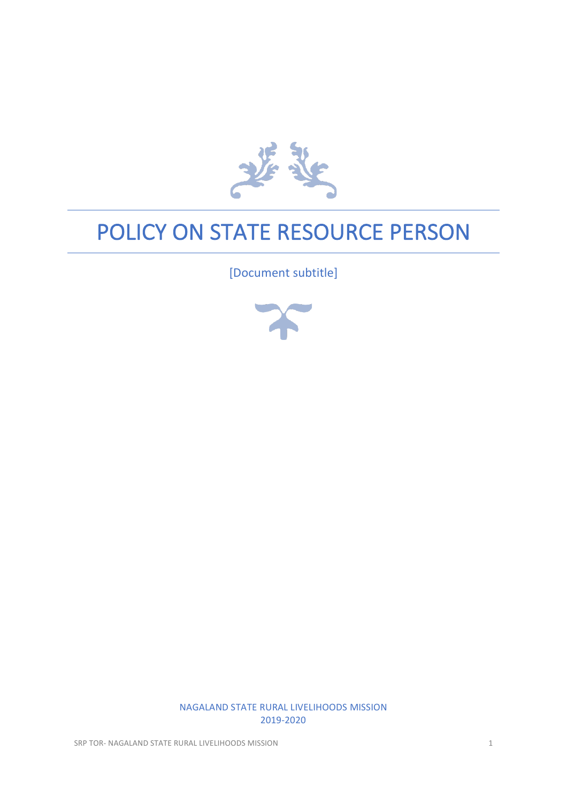

# POLICY ON STATE RESOURCE PERSON

[Document subtitle]



NAGALAND STATE RURAL LIVELIHOODS MISSION 2019-2020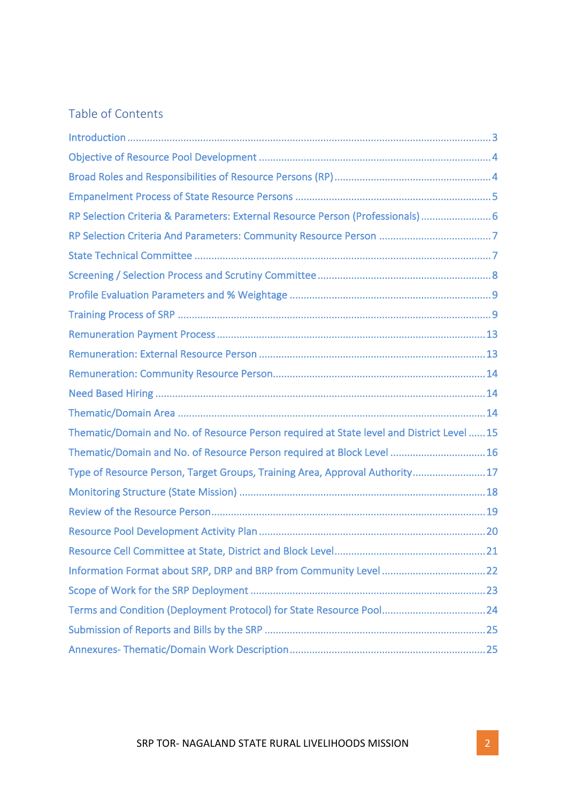# Table of Contents

| RP Selection Criteria & Parameters: External Resource Person (Professionals)  6           |
|-------------------------------------------------------------------------------------------|
|                                                                                           |
|                                                                                           |
|                                                                                           |
|                                                                                           |
|                                                                                           |
|                                                                                           |
|                                                                                           |
|                                                                                           |
|                                                                                           |
|                                                                                           |
| Thematic/Domain and No. of Resource Person required at State level and District Level  15 |
| Thematic/Domain and No. of Resource Person required at Block Level 16                     |
| Type of Resource Person, Target Groups, Training Area, Approval Authority17               |
|                                                                                           |
|                                                                                           |
|                                                                                           |
|                                                                                           |
|                                                                                           |
|                                                                                           |
|                                                                                           |
|                                                                                           |
|                                                                                           |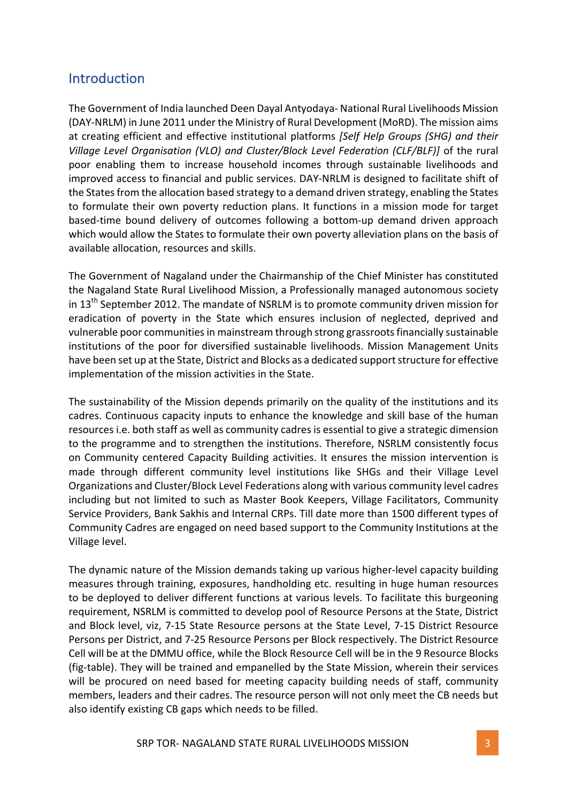### **Introduction**

The Government of India launched Deen Dayal Antyodaya- National Rural Livelihoods Mission (DAY-NRLM) in June 2011 under the Ministry of Rural Development (MoRD). The mission aims at creating efficient and effective institutional platforms *[Self Help Groups (SHG)* and their *Village Level Organisation (VLO) and Cluster/Block Level Federation (CLF/BLF)]* of the rural poor enabling them to increase household incomes through sustainable livelihoods and improved access to financial and public services. DAY-NRLM is designed to facilitate shift of the States from the allocation based strategy to a demand driven strategy, enabling the States to formulate their own poverty reduction plans. It functions in a mission mode for target based-time bound delivery of outcomes following a bottom-up demand driven approach which would allow the States to formulate their own poverty alleviation plans on the basis of available allocation, resources and skills.

The Government of Nagaland under the Chairmanship of the Chief Minister has constituted the Nagaland State Rural Livelihood Mission, a Professionally managed autonomous society in  $13<sup>th</sup>$  September 2012. The mandate of NSRLM is to promote community driven mission for eradication of poverty in the State which ensures inclusion of neglected, deprived and vulnerable poor communities in mainstream through strong grassroots financially sustainable institutions of the poor for diversified sustainable livelihoods. Mission Management Units have been set up at the State, District and Blocks as a dedicated support structure for effective implementation of the mission activities in the State.

The sustainability of the Mission depends primarily on the quality of the institutions and its cadres. Continuous capacity inputs to enhance the knowledge and skill base of the human resources *i.e.* both staff as well as community cadres is essential to give a strategic dimension to the programme and to strengthen the institutions. Therefore, NSRLM consistently focus on Community centered Capacity Building activities. It ensures the mission intervention is made through different community level institutions like SHGs and their Village Level Organizations and Cluster/Block Level Federations along with various community level cadres including but not limited to such as Master Book Keepers, Village Facilitators, Community Service Providers, Bank Sakhis and Internal CRPs. Till date more than 1500 different types of Community Cadres are engaged on need based support to the Community Institutions at the Village level.

The dynamic nature of the Mission demands taking up various higher-level capacity building measures through training, exposures, handholding etc. resulting in huge human resources to be deployed to deliver different functions at various levels. To facilitate this burgeoning requirement, NSRLM is committed to develop pool of Resource Persons at the State, District and Block level, viz, 7-15 State Resource persons at the State Level, 7-15 District Resource Persons per District, and 7-25 Resource Persons per Block respectively. The District Resource Cell will be at the DMMU office, while the Block Resource Cell will be in the 9 Resource Blocks (fig-table). They will be trained and empanelled by the State Mission, wherein their services will be procured on need based for meeting capacity building needs of staff, community members, leaders and their cadres. The resource person will not only meet the CB needs but also identify existing CB gaps which needs to be filled.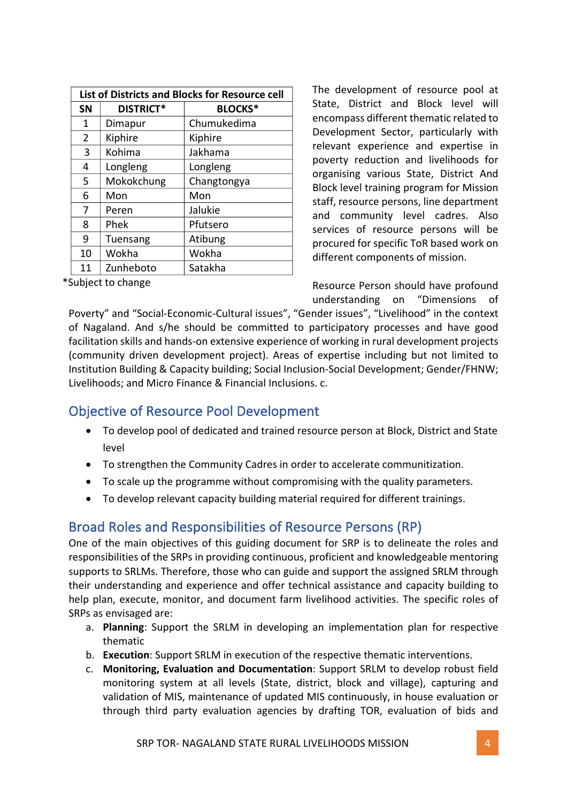| <b>List of Districts and Blocks for Resource cell</b> |                  |                |  |  |  |  |
|-------------------------------------------------------|------------------|----------------|--|--|--|--|
| <b>SN</b>                                             | <b>DISTRICT*</b> | <b>BLOCKS*</b> |  |  |  |  |
| 1                                                     | Dimapur          | Chumukedima    |  |  |  |  |
| $\overline{2}$                                        | Kiphire          | Kiphire        |  |  |  |  |
| 3                                                     | Kohima           | Jakhama        |  |  |  |  |
| 4                                                     | Longleng         | Longleng       |  |  |  |  |
| 5                                                     | Mokokchung       | Changtongya    |  |  |  |  |
| 6                                                     | Mon              | Mon            |  |  |  |  |
| 7                                                     | Peren            | Jalukie        |  |  |  |  |
| 8                                                     | Phek             | Pfutsero       |  |  |  |  |
| 9                                                     | Tuensang         | Atibung        |  |  |  |  |
| 10                                                    | Wokha            | Wokha          |  |  |  |  |
| 11                                                    | Zunheboto        | Satakha        |  |  |  |  |

\*Subject to change

The development of resource pool at State, District and Block level will encompass different thematic related to Development Sector, particularly with relevant experience and expertise in poverty reduction and livelihoods for organising various State, District And Block level training program for Mission staff, resource persons, line department and community level cadres. Also services of resource persons will be procured for specific ToR based work on different components of mission.

Resource Person should have profound understanding on "Dimensions of

Poverty" and "Social-Economic-Cultural issues", "Gender issues", "Livelihood" in the context of Nagaland. And s/he should be committed to participatory processes and have good facilitation skills and hands-on extensive experience of working in rural development projects (community driven development project). Areas of expertise including but not limited to Institution Building & Capacity building; Social Inclusion-Social Development; Gender/FHNW; Livelihoods; and Micro Finance & Financial Inclusions. c.

# Objective of Resource Pool Development

- To develop pool of dedicated and trained resource person at Block, District and State level
- To strengthen the Community Cadres in order to accelerate communitization.
- To scale up the programme without compromising with the quality parameters.
- To develop relevant capacity building material required for different trainings.

# Broad Roles and Responsibilities of Resource Persons (RP)

One of the main objectives of this guiding document for SRP is to delineate the roles and responsibilities of the SRPs in providing continuous, proficient and knowledgeable mentoring supports to SRLMs. Therefore, those who can guide and support the assigned SRLM through their understanding and experience and offer technical assistance and capacity building to help plan, execute, monitor, and document farm livelihood activities. The specific roles of SRPs as envisaged are:

- a. Planning: Support the SRLM in developing an implementation plan for respective thematic
- b. **Execution**: Support SRLM in execution of the respective thematic interventions.
- c. Monitoring, Evaluation and Documentation: Support SRLM to develop robust field monitoring system at all levels (State, district, block and village), capturing and validation of MIS, maintenance of updated MIS continuously, in house evaluation or through third party evaluation agencies by drafting TOR, evaluation of bids and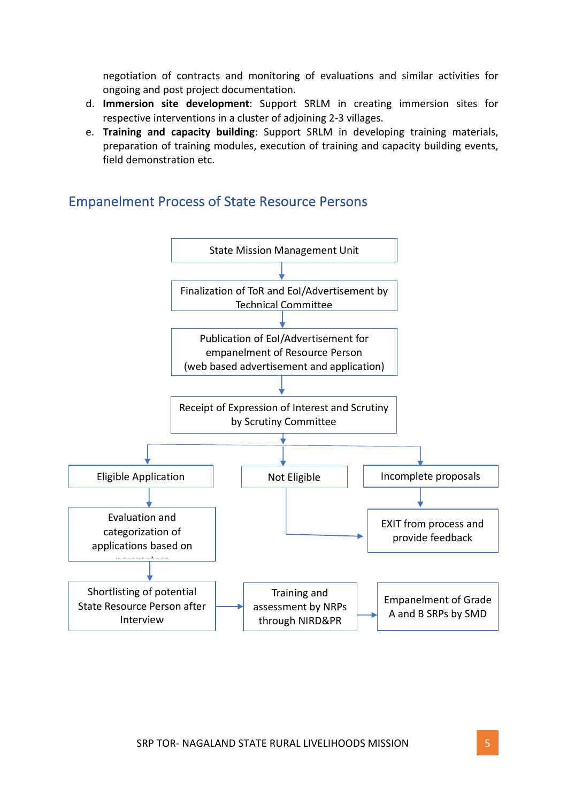negotiation of contracts and monitoring of evaluations and similar activities for ongoing and post project documentation.

- d. **Immersion site development**: Support SRLM in creating immersion sites for respective interventions in a cluster of adjoining 2-3 villages.
- e. **Training and capacity building**: Support SRLM in developing training materials, preparation of training modules, execution of training and capacity building events, field demonstration etc.



### **Empanelment Process of State Resource Persons**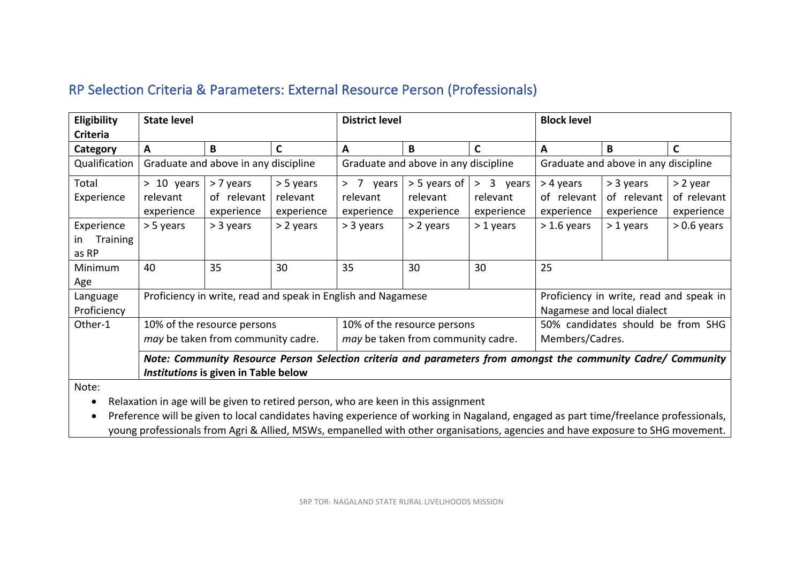# RP Selection Criteria & Parameters: External Resource Person (Professionals)

| Eligibility     | <b>State level</b>                                                                                            |                                      |              | <b>District level</b>                                        |                             |              | <b>Block level</b>                   |                                         |               |
|-----------------|---------------------------------------------------------------------------------------------------------------|--------------------------------------|--------------|--------------------------------------------------------------|-----------------------------|--------------|--------------------------------------|-----------------------------------------|---------------|
| <b>Criteria</b> |                                                                                                               |                                      |              |                                                              |                             |              |                                      |                                         |               |
| Category        | A                                                                                                             | B                                    | $\mathbf{C}$ | А                                                            | B                           | C            | A                                    | B                                       | C             |
| Qualification   |                                                                                                               | Graduate and above in any discipline |              | Graduate and above in any discipline                         |                             |              | Graduate and above in any discipline |                                         |               |
| Total           | $> 10$ years                                                                                                  | > 7 years                            | > 5 years    | 7<br>years<br>$\geq$                                         | > 5 years of                | > 3<br>years | > 4 years                            | > 3 years                               | > 2 year      |
| Experience      | relevant                                                                                                      | of relevant                          | relevant     | relevant                                                     | relevant                    | relevant     | of relevant                          | of relevant                             | of relevant   |
|                 | experience                                                                                                    | experience                           | experience   | experience                                                   | experience                  | experience   | experience                           | experience                              | experience    |
| Experience      | > 5 years                                                                                                     | > 3 years                            | > 2 years    | > 3 years                                                    | > 2 years                   | $>1$ years   | $>1.6$ years                         | $>1$ years                              | $> 0.6$ years |
| Training<br>ın  |                                                                                                               |                                      |              |                                                              |                             |              |                                      |                                         |               |
| as RP           |                                                                                                               |                                      |              |                                                              |                             |              |                                      |                                         |               |
| Minimum         | 40                                                                                                            | 35                                   | 30           | 35                                                           | 30                          | 30           | 25                                   |                                         |               |
| Age             |                                                                                                               |                                      |              |                                                              |                             |              |                                      |                                         |               |
| Language        |                                                                                                               |                                      |              | Proficiency in write, read and speak in English and Nagamese |                             |              |                                      | Proficiency in write, read and speak in |               |
| Proficiency     |                                                                                                               |                                      |              |                                                              |                             |              |                                      | Nagamese and local dialect              |               |
| Other-1         |                                                                                                               | 10% of the resource persons          |              |                                                              | 10% of the resource persons |              |                                      | 50% candidates should be from SHG       |               |
|                 | may be taken from community cadre.<br>may be taken from community cadre.<br>Members/Cadres.                   |                                      |              |                                                              |                             |              |                                      |                                         |               |
|                 | Note: Community Resource Person Selection criteria and parameters from amongst the community Cadre/ Community |                                      |              |                                                              |                             |              |                                      |                                         |               |
|                 |                                                                                                               | Institutions is given in Table below |              |                                                              |                             |              |                                      |                                         |               |
| $N = 1 - 1$     |                                                                                                               |                                      |              |                                                              |                             |              |                                      |                                         |               |

Note:

• Relaxation in age will be given to retired person, who are keen in this assignment

• Preference will be given to local candidates having experience of working in Nagaland, engaged as part time/freelance professionals, young professionals from Agri & Allied, MSWs, empanelled with other organisations, agencies and have exposure to SHG movement.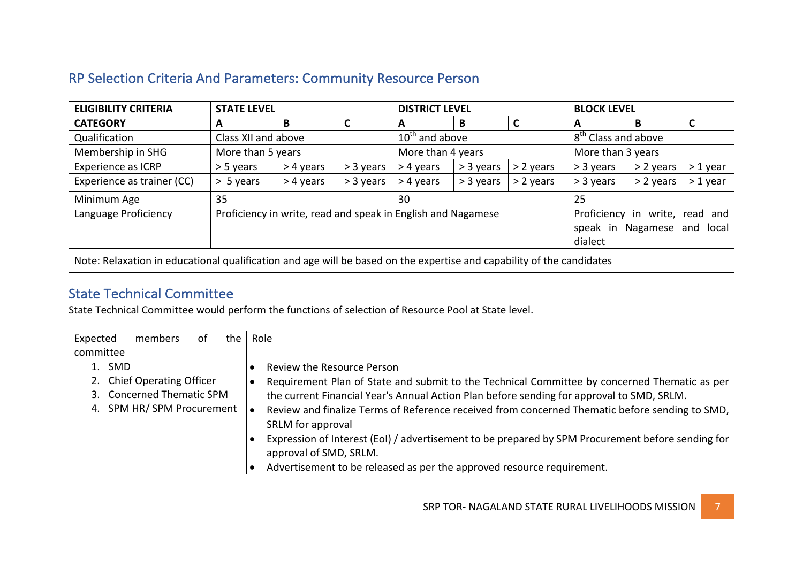# RP Selection Criteria And Parameters: Community Resource Person

| <b>ELIGIBILITY CRITERIA</b>                                                                                                                                      | <b>STATE LEVEL</b>  |           |             | <b>DISTRICT LEVEL</b> |           |             | <b>BLOCK LEVEL</b>              |           |           |
|------------------------------------------------------------------------------------------------------------------------------------------------------------------|---------------------|-----------|-------------|-----------------------|-----------|-------------|---------------------------------|-----------|-----------|
| <b>CATEGORY</b>                                                                                                                                                  | A                   | B         |             | A                     | B         |             | А                               | B         |           |
| Qualification                                                                                                                                                    | Class XII and above |           |             | $10th$ and above      |           |             | 8 <sup>th</sup> Class and above |           |           |
| Membership in SHG                                                                                                                                                | More than 5 years   |           |             | More than 4 years     |           |             | More than 3 years               |           |           |
| <b>Experience as ICRP</b>                                                                                                                                        | $> 5$ years         | > 4 years | $> 3$ years | > 4 years             | > 3 years | $> 2$ years | $>$ 3 years                     | > 2 years | $>1$ year |
| Experience as trainer (CC)                                                                                                                                       | $> 5$ years         | > 4 years | > 3 years   | > 4 years             | > 3 years | > 2 years   | $>$ 3 years                     | > 2 years | $>1$ year |
| 35<br>Minimum Age<br>30                                                                                                                                          |                     |           | 25          |                       |           |             |                                 |           |           |
| Proficiency in write, read and speak in English and Nagamese<br>Language Proficiency<br>Proficiency in write, read and<br>speak in Nagamese and local<br>dialect |                     |           |             |                       |           |             |                                 |           |           |
| Note: Relaxation in educational qualification and age will be based on the expertise and capability of the candidates                                            |                     |           |             |                       |           |             |                                 |           |           |

# **State Technical Committee**

State Technical Committee would perform the functions of selection of Resource Pool at State level.

| Expected<br>members<br>the<br>0t                                                               | Role                                                                                                                                                                                                                                                                                                                                                  |
|------------------------------------------------------------------------------------------------|-------------------------------------------------------------------------------------------------------------------------------------------------------------------------------------------------------------------------------------------------------------------------------------------------------------------------------------------------------|
| committee                                                                                      |                                                                                                                                                                                                                                                                                                                                                       |
| 1. SMD<br>2. Chief Operating Officer<br>3. Concerned Thematic SPM<br>4. SPM HR/SPM Procurement | <b>Review the Resource Person</b><br>Requirement Plan of State and submit to the Technical Committee by concerned Thematic as per<br>the current Financial Year's Annual Action Plan before sending for approval to SMD, SRLM.<br>Review and finalize Terms of Reference received from concerned Thematic before sending to SMD,<br>SRLM for approval |
|                                                                                                | Expression of Interest (EoI) / advertisement to be prepared by SPM Procurement before sending for<br>approval of SMD, SRLM.<br>Advertisement to be released as per the approved resource requirement.                                                                                                                                                 |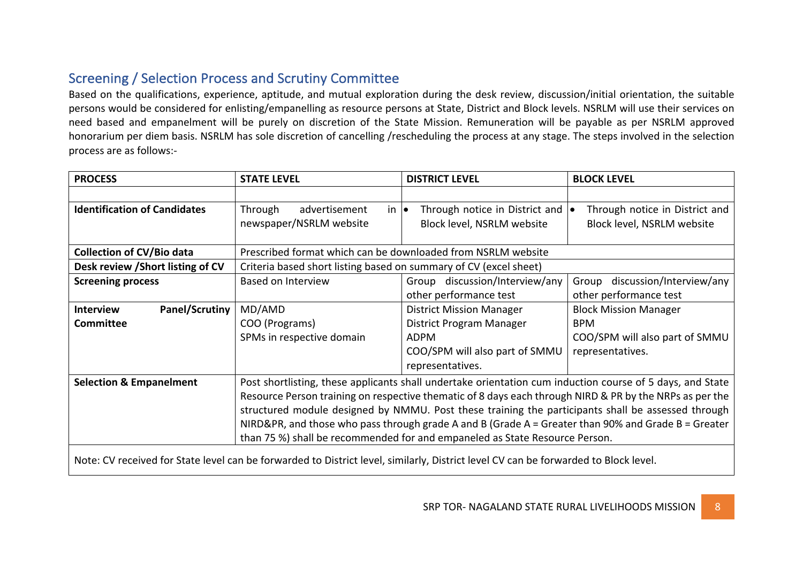# Screening / Selection Process and Scrutiny Committee

Based on the qualifications, experience, aptitude, and mutual exploration during the desk review, discussion/initial orientation, the suitable persons would be considered for enlisting/empanelling as resource persons at State, District and Block levels. NSRLM will use their services on need based and empanelment will be purely on discretion of the State Mission. Remuneration will be payable as per NSRLM approved honorarium per diem basis. NSRLM has sole discretion of cancelling /rescheduling the process at any stage. The steps involved in the selection process are as follows:-

| <b>PROCESS</b>                            | <b>STATE LEVEL</b>                                                                                                                                                                   | <b>DISTRICT LEVEL</b>                                                                                                               | <b>BLOCK LEVEL</b>                |  |  |  |
|-------------------------------------------|--------------------------------------------------------------------------------------------------------------------------------------------------------------------------------------|-------------------------------------------------------------------------------------------------------------------------------------|-----------------------------------|--|--|--|
|                                           |                                                                                                                                                                                      |                                                                                                                                     |                                   |  |  |  |
| <b>Identification of Candidates</b>       | $in \bullet$<br>Through<br>advertisement                                                                                                                                             | Through notice in District and  .                                                                                                   | Through notice in District and    |  |  |  |
|                                           | newspaper/NSRLM website                                                                                                                                                              | Block level, NSRLM website                                                                                                          | Block level, NSRLM website        |  |  |  |
|                                           |                                                                                                                                                                                      |                                                                                                                                     |                                   |  |  |  |
| <b>Collection of CV/Bio data</b>          | Prescribed format which can be downloaded from NSRLM website                                                                                                                         |                                                                                                                                     |                                   |  |  |  |
| Desk review / Short listing of CV         | Criteria based short listing based on summary of CV (excel sheet)                                                                                                                    |                                                                                                                                     |                                   |  |  |  |
| <b>Screening process</b>                  | <b>Based on Interview</b>                                                                                                                                                            | Group discussion/Interview/any                                                                                                      | discussion/Interview/any<br>Group |  |  |  |
|                                           |                                                                                                                                                                                      | other performance test                                                                                                              | other performance test            |  |  |  |
| <b>Panel/Scrutiny</b><br><b>Interview</b> | MD/AMD                                                                                                                                                                               | <b>District Mission Manager</b>                                                                                                     | <b>Block Mission Manager</b>      |  |  |  |
| <b>Committee</b>                          | COO (Programs)                                                                                                                                                                       | <b>District Program Manager</b>                                                                                                     | <b>BPM</b>                        |  |  |  |
|                                           | SPMs in respective domain                                                                                                                                                            | ADPM                                                                                                                                | COO/SPM will also part of SMMU    |  |  |  |
|                                           |                                                                                                                                                                                      | COO/SPM will also part of SMMU                                                                                                      | representatives.                  |  |  |  |
|                                           |                                                                                                                                                                                      | representatives.                                                                                                                    |                                   |  |  |  |
| <b>Selection &amp; Empanelment</b>        |                                                                                                                                                                                      | Post shortlisting, these applicants shall undertake orientation cum induction course of 5 days, and State                           |                                   |  |  |  |
|                                           |                                                                                                                                                                                      | Resource Person training on respective thematic of 8 days each through NIRD & PR by the NRPs as per the                             |                                   |  |  |  |
|                                           | structured module designed by NMMU. Post these training the participants shall be assessed through                                                                                   |                                                                                                                                     |                                   |  |  |  |
|                                           | NIRD&PR, and those who pass through grade A and B (Grade $A =$ Greater than 90% and Grade B = Greater<br>than 75 %) shall be recommended for and empaneled as State Resource Person. |                                                                                                                                     |                                   |  |  |  |
|                                           |                                                                                                                                                                                      |                                                                                                                                     |                                   |  |  |  |
|                                           |                                                                                                                                                                                      | Note: CV received for State level can be forwarded to District level, similarly, District level CV can be forwarded to Block level. |                                   |  |  |  |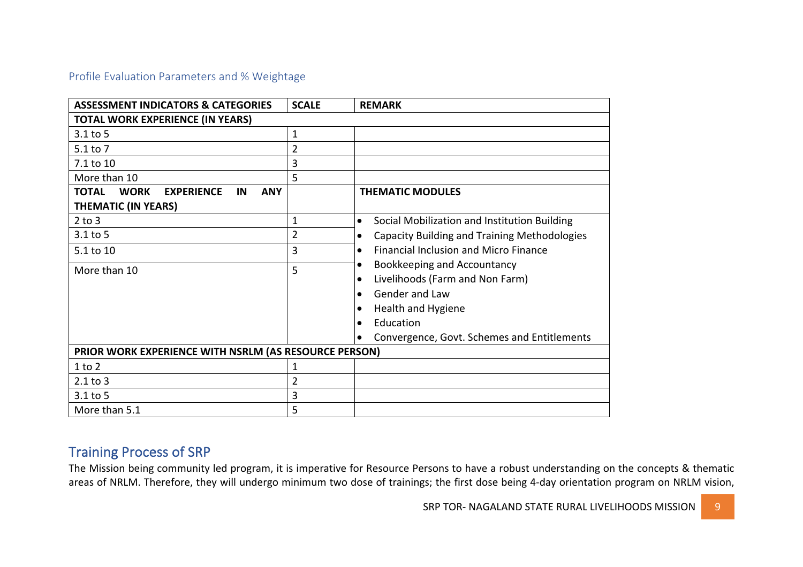### Profile Evaluation Parameters and % Weightage

| <b>ASSESSMENT INDICATORS &amp; CATEGORIES</b>                        | <b>SCALE</b>   | <b>REMARK</b>                                                    |
|----------------------------------------------------------------------|----------------|------------------------------------------------------------------|
| <b>TOTAL WORK EXPERIENCE (IN YEARS)</b>                              |                |                                                                  |
| $3.1$ to 5                                                           | 1              |                                                                  |
| 5.1 to 7                                                             | $\overline{2}$ |                                                                  |
| 7.1 to 10                                                            | 3              |                                                                  |
| More than 10                                                         | 5              |                                                                  |
| <b>TOTAL</b><br><b>WORK</b><br><b>ANY</b><br><b>EXPERIENCE</b><br>IN |                | <b>THEMATIC MODULES</b>                                          |
| <b>THEMATIC (IN YEARS)</b>                                           |                |                                                                  |
| $2$ to $3$                                                           | $\mathbf{1}$   | Social Mobilization and Institution Building<br>$\bullet$        |
| $3.1$ to 5                                                           | $\overline{2}$ | <b>Capacity Building and Training Methodologies</b><br>$\bullet$ |
| 5.1 to 10                                                            | 3              | <b>Financial Inclusion and Micro Finance</b><br>$\bullet$        |
| More than 10                                                         | 5              | <b>Bookkeeping and Accountancy</b><br>$\bullet$                  |
|                                                                      |                | Livelihoods (Farm and Non Farm)                                  |
|                                                                      |                | Gender and Law                                                   |
|                                                                      |                | Health and Hygiene                                               |
|                                                                      |                | Education<br>$\bullet$                                           |
|                                                                      |                | Convergence, Govt. Schemes and Entitlements                      |
| PRIOR WORK EXPERIENCE WITH NSRLM (AS RESOURCE PERSON)                |                |                                                                  |
| $1$ to $2$                                                           | 1              |                                                                  |
| $2.1$ to $3$                                                         | 2              |                                                                  |
| 3.1 to 5                                                             | 3              |                                                                  |
| More than 5.1                                                        | 5              |                                                                  |

### **Training Process of SRP**

The Mission being community led program, it is imperative for Resource Persons to have a robust understanding on the concepts & thematic areas of NRLM. Therefore, they will undergo minimum two dose of trainings; the first dose being 4-day orientation program on NRLM vision,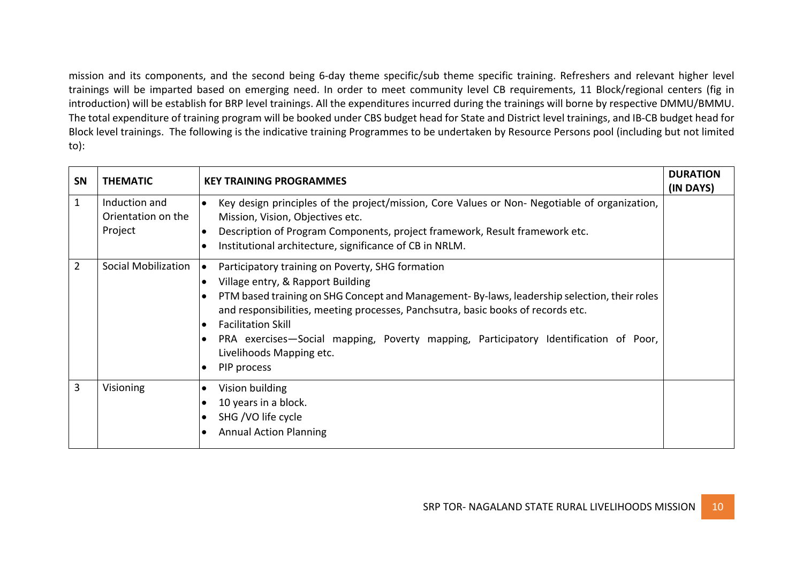mission and its components, and the second being 6-day theme specific/sub theme specific training. Refreshers and relevant higher level trainings will be imparted based on emerging need. In order to meet community level CB requirements, 11 Block/regional centers (fig in introduction) will be establish for BRP level trainings. All the expenditures incurred during the trainings will borne by respective DMMU/BMMU. The total expenditure of training program will be booked under CBS budget head for State and District level trainings, and IB-CB budget head for Block level trainings. The following is the indicative training Programmes to be undertaken by Resource Persons pool (including but not limited to):

| SN             | <b>THEMATIC</b>                                | <b>KEY TRAINING PROGRAMMES</b>                                                                                                                                                                                                                                                                                                                                                                                                                                                                                 | <b>DURATION</b><br>(IN DAYS) |
|----------------|------------------------------------------------|----------------------------------------------------------------------------------------------------------------------------------------------------------------------------------------------------------------------------------------------------------------------------------------------------------------------------------------------------------------------------------------------------------------------------------------------------------------------------------------------------------------|------------------------------|
| $\mathbf{1}$   | Induction and<br>Orientation on the<br>Project | Key design principles of the project/mission, Core Values or Non- Negotiable of organization,<br>$\bullet$<br>Mission, Vision, Objectives etc.<br>Description of Program Components, project framework, Result framework etc.<br>$\bullet$<br>Institutional architecture, significance of CB in NRLM.<br>$\bullet$                                                                                                                                                                                             |                              |
| $\overline{2}$ | Social Mobilization                            | Participatory training on Poverty, SHG formation<br>$\bullet$<br>Village entry, & Rapport Building<br>$\bullet$<br>PTM based training on SHG Concept and Management-By-laws, leadership selection, their roles<br>$\bullet$<br>and responsibilities, meeting processes, Panchsutra, basic books of records etc.<br><b>Facilitation Skill</b><br>$\bullet$<br>PRA exercises—Social mapping, Poverty mapping, Participatory Identification of Poor,<br>$\bullet$<br>Livelihoods Mapping etc.<br>PIP process<br>٠ |                              |
| 3              | Visioning                                      | Vision building<br>$\bullet$<br>10 years in a block.<br>$\bullet$<br>SHG /VO life cycle<br>$\bullet$<br><b>Annual Action Planning</b><br>$\bullet$                                                                                                                                                                                                                                                                                                                                                             |                              |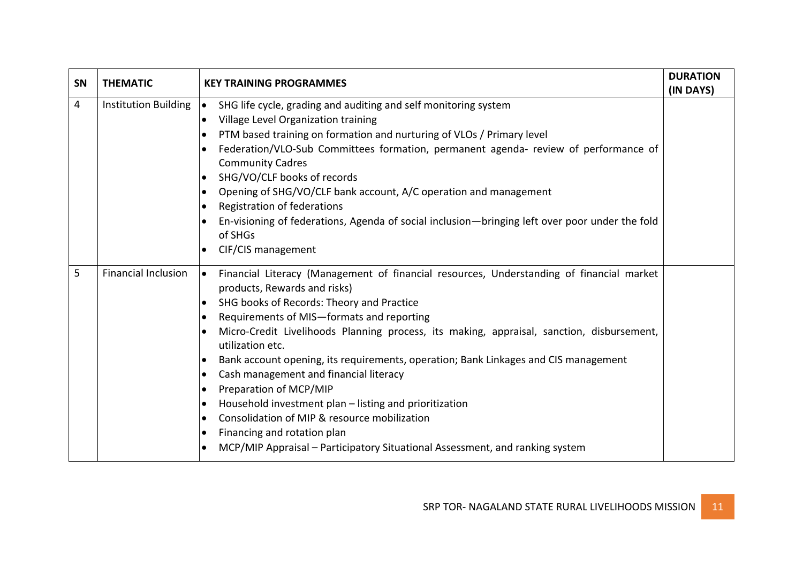| SN | <b>THEMATIC</b>             | <b>KEY TRAINING PROGRAMMES</b>                                                                                                                                                                                                                                                                                                                                                                                                                                                                                                                                                                                                                                                                                                                                                                                                                                         | <b>DURATION</b><br>(IN DAYS) |
|----|-----------------------------|------------------------------------------------------------------------------------------------------------------------------------------------------------------------------------------------------------------------------------------------------------------------------------------------------------------------------------------------------------------------------------------------------------------------------------------------------------------------------------------------------------------------------------------------------------------------------------------------------------------------------------------------------------------------------------------------------------------------------------------------------------------------------------------------------------------------------------------------------------------------|------------------------------|
| 4  | <b>Institution Building</b> | SHG life cycle, grading and auditing and self monitoring system<br>$\bullet$<br>Village Level Organization training<br>$\bullet$<br>PTM based training on formation and nurturing of VLOs / Primary level<br>$\bullet$<br>Federation/VLO-Sub Committees formation, permanent agenda- review of performance of<br>$\bullet$<br><b>Community Cadres</b><br>SHG/VO/CLF books of records<br>$\bullet$<br>Opening of SHG/VO/CLF bank account, A/C operation and management<br>$\bullet$<br>Registration of federations<br>$\bullet$<br>En-visioning of federations, Agenda of social inclusion-bringing left over poor under the fold<br>of SHGs<br>CIF/CIS management<br>$\bullet$                                                                                                                                                                                         |                              |
| 5  | <b>Financial Inclusion</b>  | Financial Literacy (Management of financial resources, Understanding of financial market<br>$\bullet$<br>products, Rewards and risks)<br>SHG books of Records: Theory and Practice<br>$\bullet$<br>Requirements of MIS-formats and reporting<br>$\bullet$<br>Micro-Credit Livelihoods Planning process, its making, appraisal, sanction, disbursement,<br>$\bullet$<br>utilization etc.<br>Bank account opening, its requirements, operation; Bank Linkages and CIS management<br>$\bullet$<br>Cash management and financial literacy<br>$\bullet$<br>Preparation of MCP/MIP<br>$\bullet$<br>Household investment plan - listing and prioritization<br>$\bullet$<br>Consolidation of MIP & resource mobilization<br>$\bullet$<br>Financing and rotation plan<br>$\bullet$<br>MCP/MIP Appraisal - Participatory Situational Assessment, and ranking system<br>$\bullet$ |                              |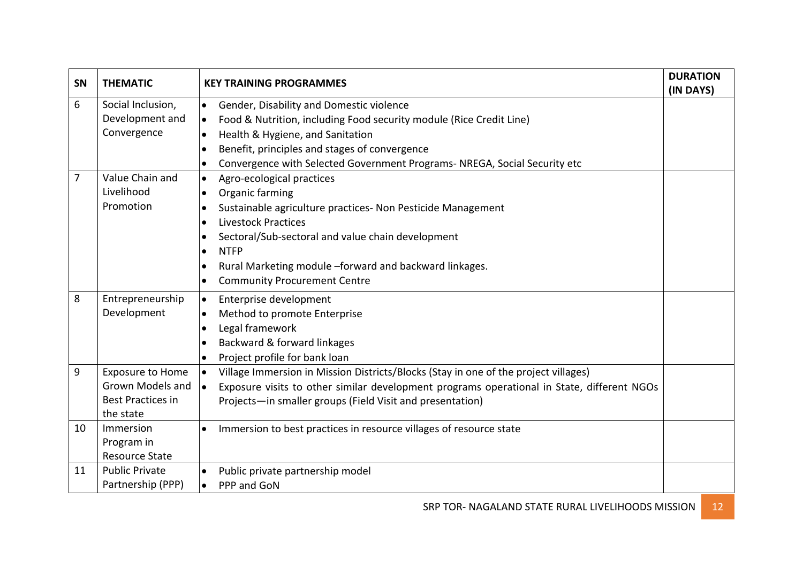| <b>SN</b>      | <b>THEMATIC</b>          | <b>KEY TRAINING PROGRAMMES</b>                                                                          | <b>DURATION</b><br>(IN DAYS) |
|----------------|--------------------------|---------------------------------------------------------------------------------------------------------|------------------------------|
| 6              | Social Inclusion,        | Gender, Disability and Domestic violence<br>$\bullet$                                                   |                              |
|                | Development and          | Food & Nutrition, including Food security module (Rice Credit Line)<br>$\bullet$                        |                              |
|                | Convergence              | Health & Hygiene, and Sanitation<br>$\bullet$                                                           |                              |
|                |                          | Benefit, principles and stages of convergence<br>$\bullet$                                              |                              |
|                |                          | Convergence with Selected Government Programs- NREGA, Social Security etc<br>$\bullet$                  |                              |
| $\overline{7}$ | Value Chain and          | Agro-ecological practices<br>$\bullet$                                                                  |                              |
|                | Livelihood               | Organic farming<br>$\bullet$                                                                            |                              |
|                | Promotion                | Sustainable agriculture practices- Non Pesticide Management<br>$\bullet$                                |                              |
|                |                          | <b>Livestock Practices</b><br>$\bullet$                                                                 |                              |
|                |                          | Sectoral/Sub-sectoral and value chain development<br>$\bullet$                                          |                              |
|                |                          | <b>NTFP</b><br>$\bullet$                                                                                |                              |
|                |                          | Rural Marketing module -forward and backward linkages.<br>$\bullet$                                     |                              |
|                |                          | <b>Community Procurement Centre</b><br>$\bullet$                                                        |                              |
| 8              | Entrepreneurship         | Enterprise development<br>$\bullet$                                                                     |                              |
|                | Development              | Method to promote Enterprise<br>$\bullet$                                                               |                              |
|                |                          | Legal framework<br>$\bullet$                                                                            |                              |
|                |                          | Backward & forward linkages<br>$\bullet$                                                                |                              |
|                |                          | Project profile for bank loan<br>$\bullet$                                                              |                              |
| 9              | <b>Exposure to Home</b>  | Village Immersion in Mission Districts/Blocks (Stay in one of the project villages)<br>$\bullet$        |                              |
|                | <b>Grown Models and</b>  | Exposure visits to other similar development programs operational in State, different NGOs<br>$\bullet$ |                              |
|                | <b>Best Practices in</b> | Projects-in smaller groups (Field Visit and presentation)                                               |                              |
|                | the state                |                                                                                                         |                              |
| 10             | Immersion                | Immersion to best practices in resource villages of resource state<br>$\bullet$                         |                              |
|                | Program in               |                                                                                                         |                              |
|                | <b>Resource State</b>    |                                                                                                         |                              |
| 11             | <b>Public Private</b>    | Public private partnership model<br>$\bullet$                                                           |                              |
|                | Partnership (PPP)        | PPP and GoN<br>$\bullet$                                                                                |                              |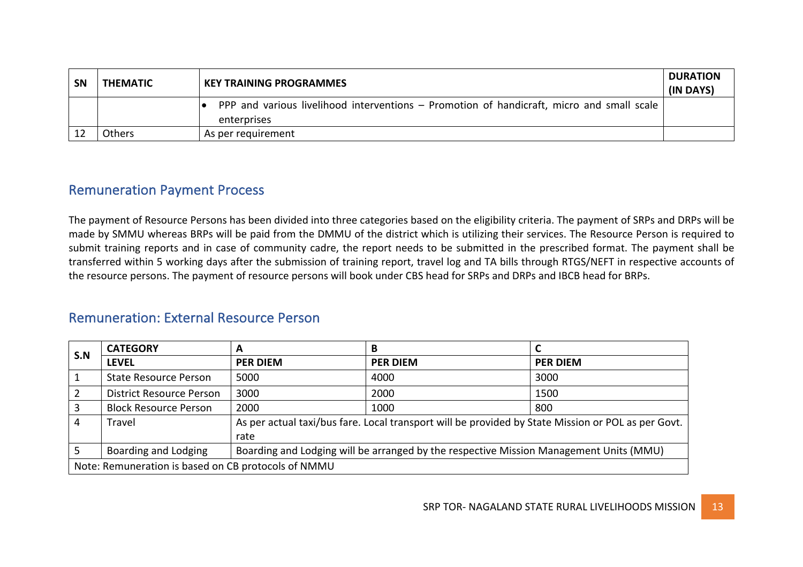| <b>SN</b> | <b>THEMATIC</b> | <b>KEY TRAINING PROGRAMMES</b>                                                                           | <b>DURATION</b><br>(IN DAYS) |
|-----------|-----------------|----------------------------------------------------------------------------------------------------------|------------------------------|
|           |                 | PPP and various livelihood interventions – Promotion of handicraft, micro and small scale<br>enterprises |                              |
|           | Others          | As per requirement                                                                                       |                              |

### **Remuneration Payment Process**

The payment of Resource Persons has been divided into three categories based on the eligibility criteria. The payment of SRPs and DRPs will be made by SMMU whereas BRPs will be paid from the DMMU of the district which is utilizing their services. The Resource Person is required to submit training reports and in case of community cadre, the report needs to be submitted in the prescribed format. The payment shall be transferred within 5 working days after the submission of training report, travel log and TA bills through RTGS/NEFT in respective accounts of the resource persons. The payment of resource persons will book under CBS head for SRPs and DRPs and IBCB head for BRPs.

### Remuneration: External Resource Person

| S.N            | <b>CATEGORY</b>                                     | A                                                                                      |                                                                                                    |                 |  |  |
|----------------|-----------------------------------------------------|----------------------------------------------------------------------------------------|----------------------------------------------------------------------------------------------------|-----------------|--|--|
|                | <b>LEVEL</b>                                        | <b>PER DIEM</b>                                                                        | <b>PER DIEM</b>                                                                                    | <b>PER DIEM</b> |  |  |
|                | <b>State Resource Person</b>                        | 5000                                                                                   | 4000                                                                                               | 3000            |  |  |
| $\overline{2}$ | <b>District Resource Person</b>                     | 3000                                                                                   | 2000                                                                                               | 1500            |  |  |
| $\overline{3}$ | <b>Block Resource Person</b>                        | 2000                                                                                   | 1000                                                                                               | 800             |  |  |
| 4              | Travel                                              |                                                                                        | As per actual taxi/bus fare. Local transport will be provided by State Mission or POL as per Govt. |                 |  |  |
|                | rate                                                |                                                                                        |                                                                                                    |                 |  |  |
|                | Boarding and Lodging                                | Boarding and Lodging will be arranged by the respective Mission Management Units (MMU) |                                                                                                    |                 |  |  |
|                | Note: Remuneration is based on CB protocols of NMMU |                                                                                        |                                                                                                    |                 |  |  |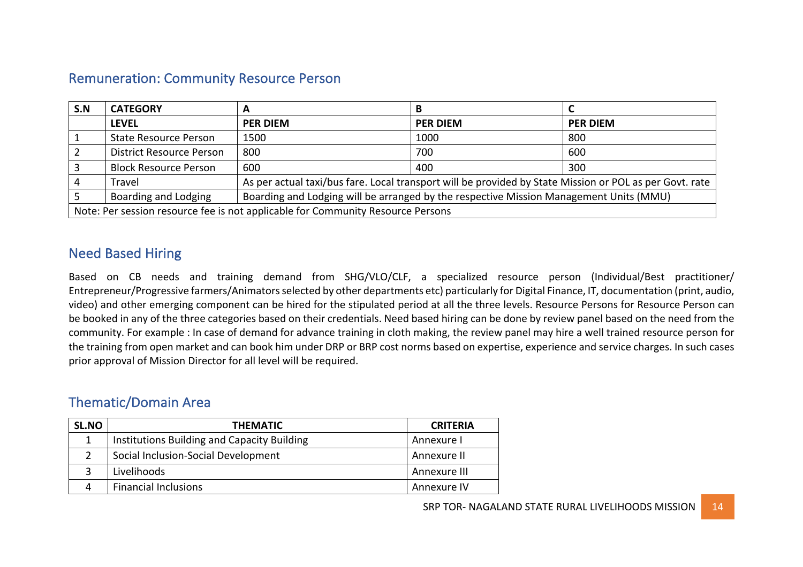### **Remuneration: Community Resource Person**

| S.N                                                                             | <b>CATEGORY</b>                                                                                                | А                                                                                                       |                 |                 |  |  |
|---------------------------------------------------------------------------------|----------------------------------------------------------------------------------------------------------------|---------------------------------------------------------------------------------------------------------|-----------------|-----------------|--|--|
|                                                                                 | <b>LEVEL</b>                                                                                                   | <b>PER DIEM</b>                                                                                         | <b>PER DIEM</b> | <b>PER DIEM</b> |  |  |
|                                                                                 | <b>State Resource Person</b>                                                                                   | 1500                                                                                                    | 1000            | 800             |  |  |
|                                                                                 | <b>District Resource Person</b>                                                                                | 800                                                                                                     | 700             | 600             |  |  |
|                                                                                 | <b>Block Resource Person</b>                                                                                   | 600                                                                                                     | 400             | 300             |  |  |
|                                                                                 | Travel                                                                                                         | As per actual taxi/bus fare. Local transport will be provided by State Mission or POL as per Govt. rate |                 |                 |  |  |
|                                                                                 | Boarding and Lodging<br>Boarding and Lodging will be arranged by the respective Mission Management Units (MMU) |                                                                                                         |                 |                 |  |  |
| Note: Per session resource fee is not applicable for Community Resource Persons |                                                                                                                |                                                                                                         |                 |                 |  |  |

### **Need Based Hiring**

Based on CB needs and training demand from SHG/VLO/CLF, a specialized resource person (Individual/Best practitioner/ Entrepreneur/Progressive farmers/Animators selected by other departments etc) particularly for Digital Finance, IT, documentation (print, audio, video) and other emerging component can be hired for the stipulated period at all the three levels. Resource Persons for Resource Person can be booked in any of the three categories based on their credentials. Need based hiring can be done by review panel based on the need from the community. For example : In case of demand for advance training in cloth making, the review panel may hire a well trained resource person for the training from open market and can book him under DRP or BRP cost norms based on expertise, experience and service charges. In such cases prior approval of Mission Director for all level will be required.

### Thematic/Domain Area

| <b>SL.NO</b> | <b>THEMATIC</b>                             | <b>CRITERIA</b> |
|--------------|---------------------------------------------|-----------------|
|              | Institutions Building and Capacity Building | Annexure I      |
|              | Social Inclusion-Social Development         | Annexure II     |
|              | Livelihoods                                 | Annexure III    |
| 4            | <b>Financial Inclusions</b>                 | Annexure IV     |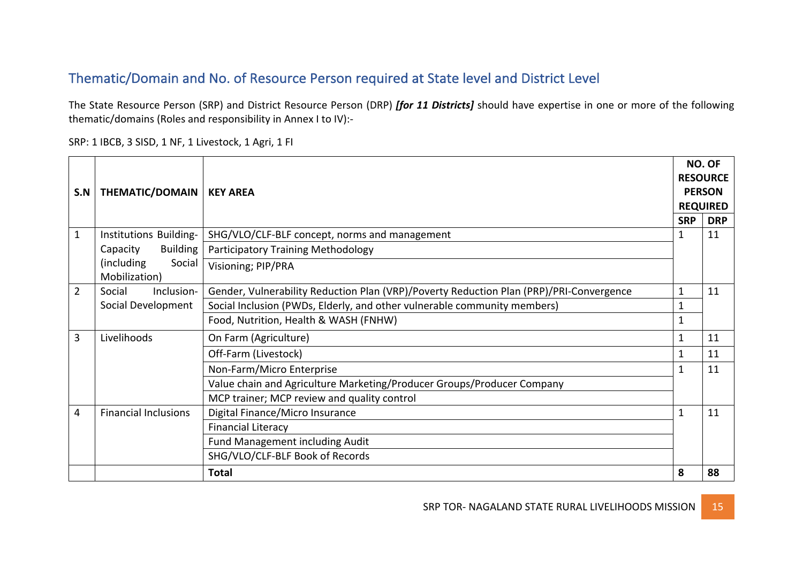# Thematic/Domain and No. of Resource Person required at State level and District Level

The State Resource Person (SRP) and District Resource Person (DRP) *[for 11 Districts]* should have expertise in one or more of the following thematic/domains (Roles and responsibility in Annex I to IV):-

SRP: 1 IBCB, 3 SISD, 1 NF, 1 Livestock, 1 Agri, 1 FI

| S.N | <b>THEMATIC/DOMAIN</b>                | <b>KEY AREA</b>                                                                         |              | NO. OF<br><b>RESOURCE</b><br><b>PERSON</b><br><b>REQUIRED</b> |
|-----|---------------------------------------|-----------------------------------------------------------------------------------------|--------------|---------------------------------------------------------------|
|     |                                       |                                                                                         | <b>SRP</b>   | <b>DRP</b>                                                    |
| 1   | Institutions Building-                | SHG/VLO/CLF-BLF concept, norms and management                                           | 1            | 11                                                            |
|     | <b>Building</b><br>Capacity           | <b>Participatory Training Methodology</b>                                               |              |                                                               |
|     | (including<br>Social<br>Mobilization) | Visioning; PIP/PRA                                                                      |              |                                                               |
| 2   | Social<br>Inclusion-                  | Gender, Vulnerability Reduction Plan (VRP)/Poverty Reduction Plan (PRP)/PRI-Convergence | $\mathbf{1}$ | 11                                                            |
|     | Social Development                    | Social Inclusion (PWDs, Elderly, and other vulnerable community members)                | 1            |                                                               |
|     |                                       | Food, Nutrition, Health & WASH (FNHW)                                                   | 1            |                                                               |
| 3   | Livelihoods                           | On Farm (Agriculture)                                                                   | $\mathbf{1}$ | 11                                                            |
|     |                                       | Off-Farm (Livestock)                                                                    | 1            | 11                                                            |
|     |                                       | Non-Farm/Micro Enterprise                                                               |              | 11                                                            |
|     |                                       | Value chain and Agriculture Marketing/Producer Groups/Producer Company                  |              |                                                               |
|     |                                       | MCP trainer; MCP review and quality control                                             |              |                                                               |
| 4   | <b>Financial Inclusions</b>           | Digital Finance/Micro Insurance                                                         | 1            | 11                                                            |
|     |                                       | <b>Financial Literacy</b>                                                               |              |                                                               |
|     |                                       | <b>Fund Management including Audit</b>                                                  |              |                                                               |
|     |                                       | SHG/VLO/CLF-BLF Book of Records                                                         |              |                                                               |
|     |                                       | <b>Total</b>                                                                            | 8            | 88                                                            |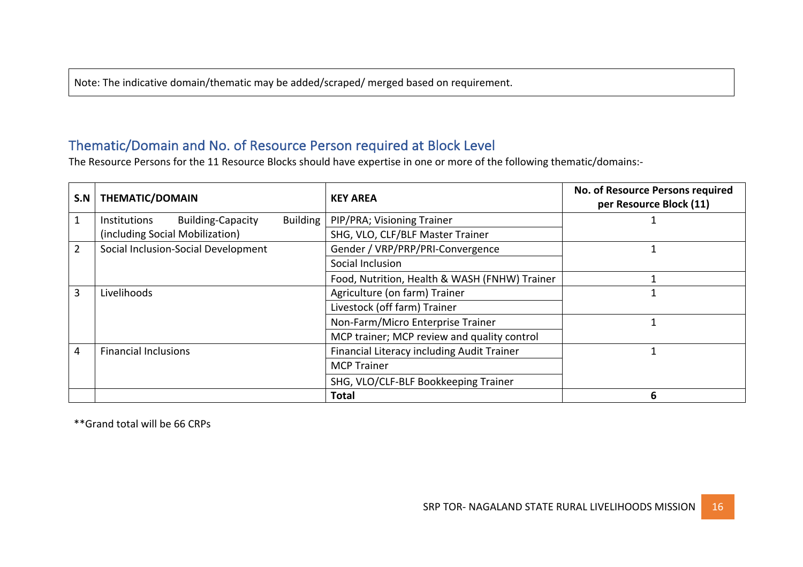Note: The indicative domain/thematic may be added/scraped/ merged based on requirement.

# Thematic/Domain and No. of Resource Person required at Block Level

The Resource Persons for the 11 Resource Blocks should have expertise in one or more of the following thematic/domains:-

| S.N            | <b>THEMATIC/DOMAIN</b>                               | <b>KEY AREA</b>                               | No. of Resource Persons required<br>per Resource Block (11) |
|----------------|------------------------------------------------------|-----------------------------------------------|-------------------------------------------------------------|
| $\mathbf{1}$   | <b>Building-Capacity</b><br>Building<br>Institutions | PIP/PRA; Visioning Trainer                    |                                                             |
|                | (including Social Mobilization)                      | SHG, VLO, CLF/BLF Master Trainer              |                                                             |
| $\overline{2}$ | Social Inclusion-Social Development                  | Gender / VRP/PRP/PRI-Convergence              |                                                             |
|                |                                                      | Social Inclusion                              |                                                             |
|                |                                                      | Food, Nutrition, Health & WASH (FNHW) Trainer |                                                             |
| 3              | Livelihoods                                          | Agriculture (on farm) Trainer                 |                                                             |
|                |                                                      | Livestock (off farm) Trainer                  |                                                             |
|                |                                                      | Non-Farm/Micro Enterprise Trainer             |                                                             |
|                |                                                      | MCP trainer; MCP review and quality control   |                                                             |
| 4              | <b>Financial Inclusions</b>                          | Financial Literacy including Audit Trainer    |                                                             |
|                |                                                      | <b>MCP Trainer</b>                            |                                                             |
|                |                                                      | SHG, VLO/CLF-BLF Bookkeeping Trainer          |                                                             |
|                |                                                      | <b>Total</b>                                  | 6                                                           |

 \*\*Grand total will be 66 CRPs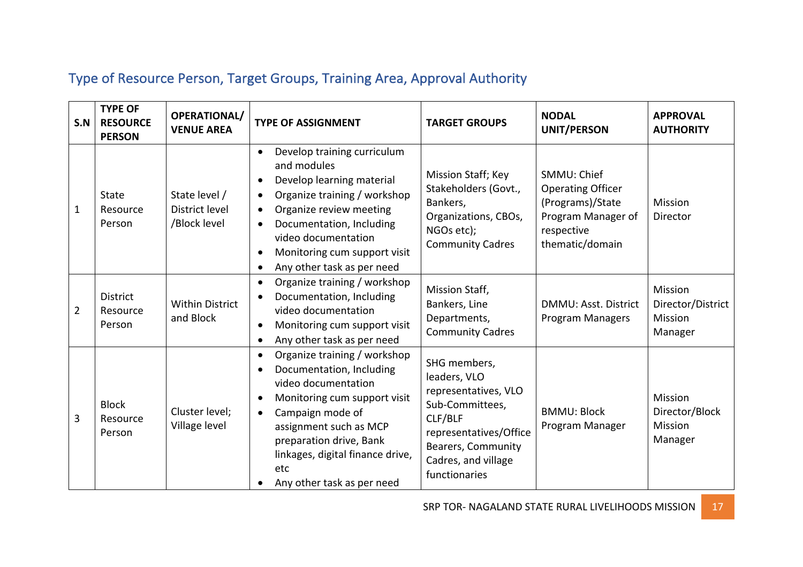# Type of Resource Person, Target Groups, Training Area, Approval Authority

| S.N | <b>TYPE OF</b><br><b>RESOURCE</b><br><b>PERSON</b> | <b>OPERATIONAL/</b><br><b>VENUE AREA</b>               | <b>TYPE OF ASSIGNMENT</b>                                                                                                                                                                                                                                                                                                                      | <b>TARGET GROUPS</b>                                                                                                                                                       | <b>NODAL</b><br>UNIT/PERSON                                                                                        | <b>APPROVAL</b><br><b>AUTHORITY</b>                           |
|-----|----------------------------------------------------|--------------------------------------------------------|------------------------------------------------------------------------------------------------------------------------------------------------------------------------------------------------------------------------------------------------------------------------------------------------------------------------------------------------|----------------------------------------------------------------------------------------------------------------------------------------------------------------------------|--------------------------------------------------------------------------------------------------------------------|---------------------------------------------------------------|
| 1   | <b>State</b><br>Resource<br>Person                 | State level /<br><b>District level</b><br>/Block level | Develop training curriculum<br>$\bullet$<br>and modules<br>Develop learning material<br>$\bullet$<br>Organize training / workshop<br>$\bullet$<br>Organize review meeting<br>$\bullet$<br>Documentation, Including<br>$\bullet$<br>video documentation<br>Monitoring cum support visit<br>$\bullet$<br>Any other task as per need<br>$\bullet$ | Mission Staff; Key<br>Stakeholders (Govt.,<br>Bankers,<br>Organizations, CBOs,<br>NGOs etc);<br><b>Community Cadres</b>                                                    | SMMU: Chief<br><b>Operating Officer</b><br>(Programs)/State<br>Program Manager of<br>respective<br>thematic/domain | <b>Mission</b><br><b>Director</b>                             |
| 2   | <b>District</b><br>Resource<br>Person              | <b>Within District</b><br>and Block                    | Organize training / workshop<br>$\bullet$<br>Documentation, Including<br>$\bullet$<br>video documentation<br>Monitoring cum support visit<br>$\bullet$<br>Any other task as per need<br>$\bullet$                                                                                                                                              | Mission Staff,<br>Bankers, Line<br>Departments,<br><b>Community Cadres</b>                                                                                                 | <b>DMMU: Asst. District</b><br><b>Program Managers</b>                                                             | Mission<br>Director/District<br><b>Mission</b><br>Manager     |
| 3   | <b>Block</b><br>Resource<br>Person                 | Cluster level;<br>Village level                        | Organize training / workshop<br>$\bullet$<br>Documentation, Including<br>$\bullet$<br>video documentation<br>Monitoring cum support visit<br>$\bullet$<br>Campaign mode of<br>assignment such as MCP<br>preparation drive, Bank<br>linkages, digital finance drive,<br>etc<br>Any other task as per need                                       | SHG members,<br>leaders, VLO<br>representatives, VLO<br>Sub-Committees,<br>CLF/BLF<br>representatives/Office<br>Bearers, Community<br>Cadres, and village<br>functionaries | <b>BMMU: Block</b><br>Program Manager                                                                              | <b>Mission</b><br>Director/Block<br><b>Mission</b><br>Manager |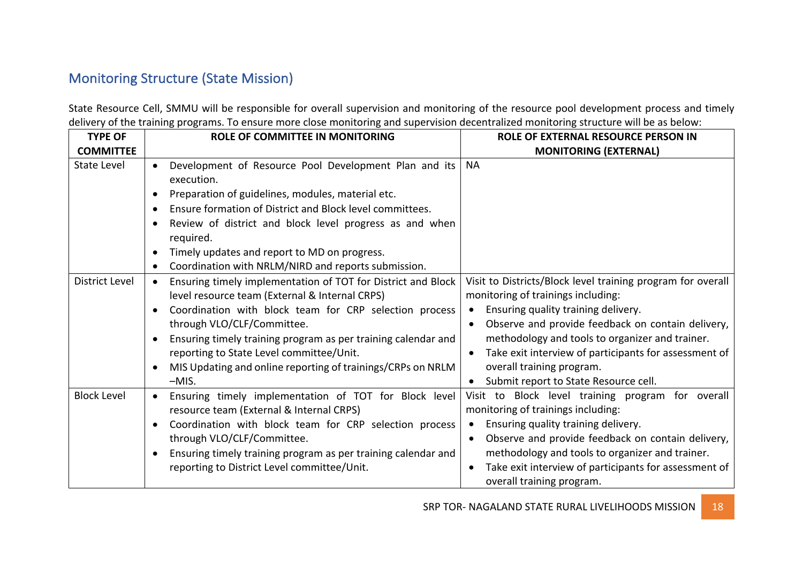# **Monitoring Structure (State Mission)**

State Resource Cell, SMMU will be responsible for overall supervision and monitoring of the resource pool development process and timely delivery of the training programs. To ensure more close monitoring and supervision decentralized monitoring structure will be as below:

| <b>TYPE OF</b>        | <b>ROLE OF COMMITTEE IN MONITORING</b>                                                                                                                                                                                                                                                                                                                                                                     | <b>ROLE OF EXTERNAL RESOURCE PERSON IN</b>                                                                                                                                                                                                                                                                                                                                                   |
|-----------------------|------------------------------------------------------------------------------------------------------------------------------------------------------------------------------------------------------------------------------------------------------------------------------------------------------------------------------------------------------------------------------------------------------------|----------------------------------------------------------------------------------------------------------------------------------------------------------------------------------------------------------------------------------------------------------------------------------------------------------------------------------------------------------------------------------------------|
| <b>COMMITTEE</b>      |                                                                                                                                                                                                                                                                                                                                                                                                            | <b>MONITORING (EXTERNAL)</b>                                                                                                                                                                                                                                                                                                                                                                 |
| <b>State Level</b>    | Development of Resource Pool Development Plan and its<br>$\bullet$<br>execution.<br>Preparation of guidelines, modules, material etc.<br>$\bullet$<br>Ensure formation of District and Block level committees.<br>Review of district and block level progress as and when<br>required.<br>Timely updates and report to MD on progress.<br>$\bullet$<br>Coordination with NRLM/NIRD and reports submission. | <b>NA</b>                                                                                                                                                                                                                                                                                                                                                                                    |
| <b>District Level</b> | Ensuring timely implementation of TOT for District and Block<br>$\bullet$<br>level resource team (External & Internal CRPS)<br>Coordination with block team for CRP selection process<br>through VLO/CLF/Committee.<br>Ensuring timely training program as per training calendar and<br>reporting to State Level committee/Unit.<br>MIS Updating and online reporting of trainings/CRPs on NRLM<br>$-MIS.$ | Visit to Districts/Block level training program for overall<br>monitoring of trainings including:<br>Ensuring quality training delivery.<br>Observe and provide feedback on contain delivery,<br>$\bullet$<br>methodology and tools to organizer and trainer.<br>Take exit interview of participants for assessment of<br>overall training program.<br>Submit report to State Resource cell. |
| <b>Block Level</b>    | Ensuring timely implementation of TOT for Block level<br>$\bullet$<br>resource team (External & Internal CRPS)<br>Coordination with block team for CRP selection process<br>through VLO/CLF/Committee.<br>Ensuring timely training program as per training calendar and<br>reporting to District Level committee/Unit.                                                                                     | Visit to Block level training program for overall<br>monitoring of trainings including:<br>Ensuring quality training delivery.<br>$\bullet$<br>Observe and provide feedback on contain delivery,<br>$\bullet$<br>methodology and tools to organizer and trainer.<br>Take exit interview of participants for assessment of<br>overall training program.                                       |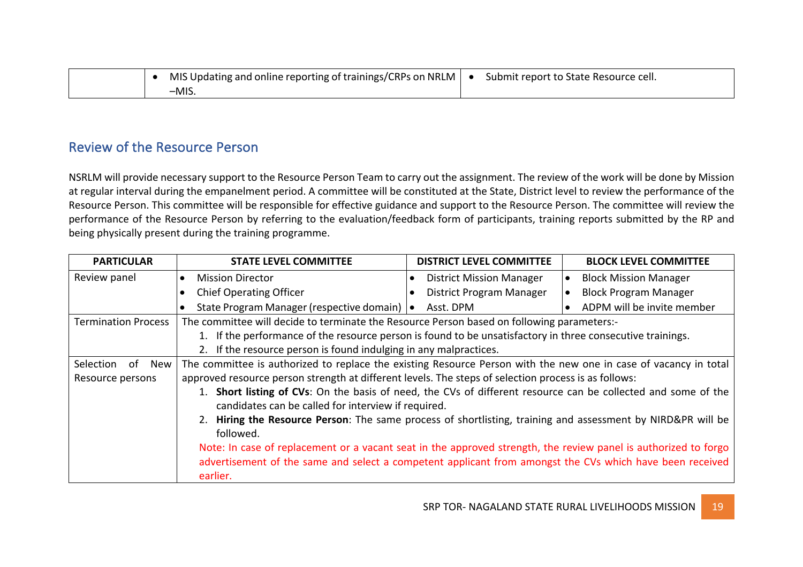|  | MIS Updating and online reporting of trainings/CRPs on NRLM $ $ | Submit report to State Resource cell. |
|--|-----------------------------------------------------------------|---------------------------------------|
|  |                                                                 |                                       |

### Review of the Resource Person

NSRLM will provide necessary support to the Resource Person Team to carry out the assignment. The review of the work will be done by Mission at regular interval during the empanelment period. A committee will be constituted at the State, District level to review the performance of the Resource Person. This committee will be responsible for effective guidance and support to the Resource Person. The committee will review the performance of the Resource Person by referring to the evaluation/feedback form of participants, training reports submitted by the RP and being physically present during the training programme.

| <b>PARTICULAR</b>          | <b>STATE LEVEL COMMITTEE</b>                                                                                     | <b>DISTRICT LEVEL COMMITTEE</b> | <b>BLOCK LEVEL COMMITTEE</b>              |  |  |
|----------------------------|------------------------------------------------------------------------------------------------------------------|---------------------------------|-------------------------------------------|--|--|
| Review panel               | <b>Mission Director</b><br>$\bullet$                                                                             | <b>District Mission Manager</b> | <b>Block Mission Manager</b><br>$\bullet$ |  |  |
|                            | <b>Chief Operating Officer</b>                                                                                   | <b>District Program Manager</b> | <b>Block Program Manager</b>              |  |  |
|                            | State Program Manager (respective domain)   •                                                                    | Asst. DPM                       | ADPM will be invite member                |  |  |
| <b>Termination Process</b> | The committee will decide to terminate the Resource Person based on following parameters:-                       |                                 |                                           |  |  |
|                            | 1. If the performance of the resource person is found to be unsatisfactory in three consecutive trainings.       |                                 |                                           |  |  |
|                            | 2. If the resource person is found indulging in any malpractices.                                                |                                 |                                           |  |  |
| Selection<br>New<br>of     | The committee is authorized to replace the existing Resource Person with the new one in case of vacancy in total |                                 |                                           |  |  |
| Resource persons           | approved resource person strength at different levels. The steps of selection process is as follows:             |                                 |                                           |  |  |
|                            | Short listing of CVs: On the basis of need, the CVs of different resource can be collected and some of the       |                                 |                                           |  |  |
|                            | candidates can be called for interview if required.                                                              |                                 |                                           |  |  |
|                            | 2. Hiring the Resource Person: The same process of shortlisting, training and assessment by NIRD&PR will be      |                                 |                                           |  |  |
|                            | followed.                                                                                                        |                                 |                                           |  |  |
|                            | Note: In case of replacement or a vacant seat in the approved strength, the review panel is authorized to forgo  |                                 |                                           |  |  |
|                            | advertisement of the same and select a competent applicant from amongst the CVs which have been received         |                                 |                                           |  |  |
|                            | earlier.                                                                                                         |                                 |                                           |  |  |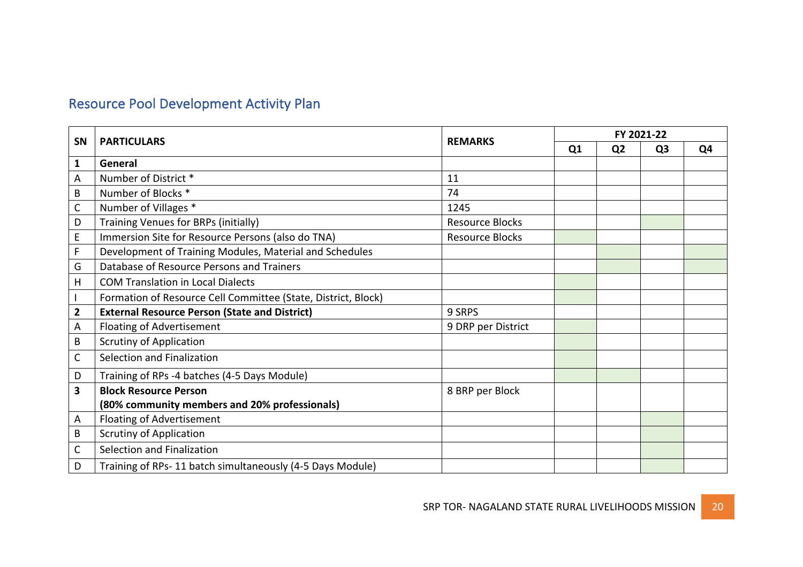# Resource Pool Development Activity Plan

| <b>SN</b>               | <b>PARTICULARS</b>                                            |                        | FY 2021-22     |                |                |    |
|-------------------------|---------------------------------------------------------------|------------------------|----------------|----------------|----------------|----|
|                         |                                                               | <b>REMARKS</b>         | Q <sub>1</sub> | Q <sub>2</sub> | Q <sub>3</sub> | Q4 |
| 1                       | General                                                       |                        |                |                |                |    |
| A                       | Number of District *                                          | 11                     |                |                |                |    |
| B                       | Number of Blocks <sup>*</sup>                                 | 74                     |                |                |                |    |
| $\mathsf{C}$            | Number of Villages *                                          | 1245                   |                |                |                |    |
| D                       | Training Venues for BRPs (initially)                          | <b>Resource Blocks</b> |                |                |                |    |
| $\mathsf E$             | Immersion Site for Resource Persons (also do TNA)             | <b>Resource Blocks</b> |                |                |                |    |
| F                       | Development of Training Modules, Material and Schedules       |                        |                |                |                |    |
| G                       | Database of Resource Persons and Trainers                     |                        |                |                |                |    |
| H                       | <b>COM Translation in Local Dialects</b>                      |                        |                |                |                |    |
|                         | Formation of Resource Cell Committee (State, District, Block) |                        |                |                |                |    |
| $\overline{\mathbf{2}}$ | <b>External Resource Person (State and District)</b>          | 9 SRPS                 |                |                |                |    |
| A                       | Floating of Advertisement                                     | 9 DRP per District     |                |                |                |    |
| B                       | <b>Scrutiny of Application</b>                                |                        |                |                |                |    |
| $\mathsf{C}$            | Selection and Finalization                                    |                        |                |                |                |    |
| D                       | Training of RPs -4 batches (4-5 Days Module)                  |                        |                |                |                |    |
| 3                       | <b>Block Resource Person</b>                                  | 8 BRP per Block        |                |                |                |    |
|                         | (80% community members and 20% professionals)                 |                        |                |                |                |    |
| A                       | <b>Floating of Advertisement</b>                              |                        |                |                |                |    |
| B                       | <b>Scrutiny of Application</b>                                |                        |                |                |                |    |
| $\mathsf C$             | Selection and Finalization                                    |                        |                |                |                |    |
| D                       | Training of RPs-11 batch simultaneously (4-5 Days Module)     |                        |                |                |                |    |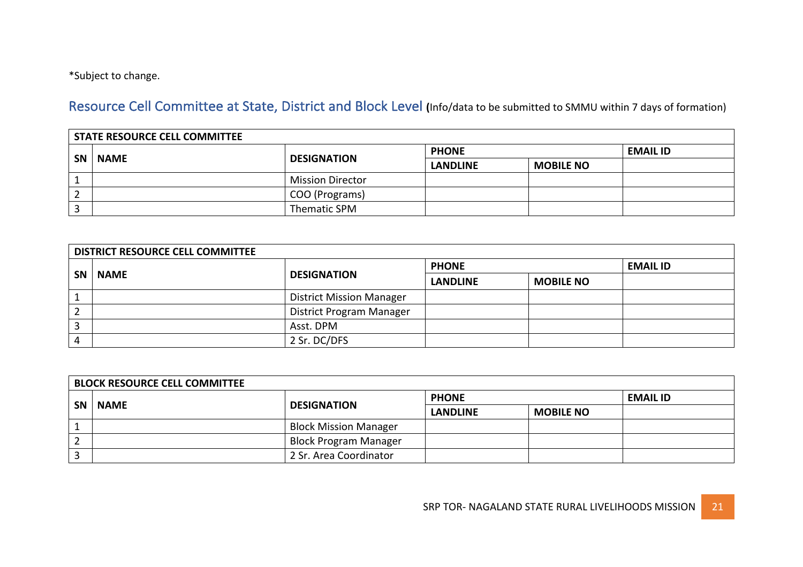\*Subject to change.

Resource Cell Committee at State, District and Block Level (Info/data to be submitted to SMMU within 7 days of formation)

|           | <b>STATE RESOURCE CELL COMMITTEE</b> |                         |                 |                  |                 |  |  |
|-----------|--------------------------------------|-------------------------|-----------------|------------------|-----------------|--|--|
| <b>SN</b> | <b>NAME</b>                          | <b>DESIGNATION</b>      | <b>PHONE</b>    |                  | <b>EMAIL ID</b> |  |  |
|           |                                      |                         | <b>LANDLINE</b> | <b>MOBILE NO</b> |                 |  |  |
|           |                                      | <b>Mission Director</b> |                 |                  |                 |  |  |
|           |                                      | COO (Programs)          |                 |                  |                 |  |  |
|           |                                      | Thematic SPM            |                 |                  |                 |  |  |

|                | DISTRICT RESOURCE CELL COMMITTEE |                                 |                 |                  |                 |  |  |
|----------------|----------------------------------|---------------------------------|-----------------|------------------|-----------------|--|--|
|                | <b>NAME</b>                      | <b>DESIGNATION</b>              | <b>PHONE</b>    |                  | <b>EMAIL ID</b> |  |  |
| SN             |                                  |                                 | <b>LANDLINE</b> | <b>MOBILE NO</b> |                 |  |  |
| $\mathbf{1}$   |                                  | <b>District Mission Manager</b> |                 |                  |                 |  |  |
| $\overline{2}$ |                                  | District Program Manager        |                 |                  |                 |  |  |
| 3              |                                  | Asst. DPM                       |                 |                  |                 |  |  |
| 4              |                                  | 2 Sr. DC/DFS                    |                 |                  |                 |  |  |

|           | <b>BLOCK RESOURCE CELL COMMITTEE</b> |                              |                 |                  |                 |  |  |
|-----------|--------------------------------------|------------------------------|-----------------|------------------|-----------------|--|--|
| <b>SN</b> | <b>NAME</b>                          | <b>DESIGNATION</b>           | <b>PHONE</b>    |                  | <b>EMAIL ID</b> |  |  |
|           |                                      |                              | <b>LANDLINE</b> | <b>MOBILE NO</b> |                 |  |  |
|           |                                      | <b>Block Mission Manager</b> |                 |                  |                 |  |  |
| 2         |                                      | <b>Block Program Manager</b> |                 |                  |                 |  |  |
| 3         |                                      | 2 Sr. Area Coordinator       |                 |                  |                 |  |  |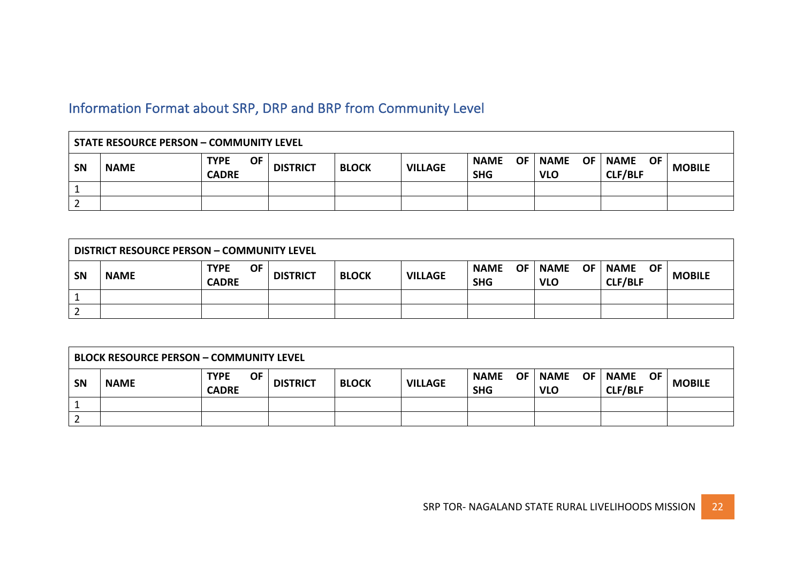# Information Format about SRP, DRP and BRP from Community Level

| <b>STATE RESOURCE PERSON - COMMUNITY LEVEL</b> |             |                                          |                 |              |                |                                 |                                        |                                            |               |  |
|------------------------------------------------|-------------|------------------------------------------|-----------------|--------------|----------------|---------------------------------|----------------------------------------|--------------------------------------------|---------------|--|
| SN                                             | <b>NAME</b> | <b>OF</b><br><b>TYPE</b><br><b>CADRE</b> | <b>DISTRICT</b> | <b>BLOCK</b> | <b>VILLAGE</b> | <b>NAME</b><br>OF<br><b>SHG</b> | <b>OF</b><br><b>NAME</b><br><b>VLO</b> | <b>NAME</b><br><b>OF</b><br><b>CLF/BLF</b> | <b>MOBILE</b> |  |
|                                                |             |                                          |                 |              |                |                                 |                                        |                                            |               |  |
| ∠                                              |             |                                          |                 |              |                |                                 |                                        |                                            |               |  |

| <b>DISTRICT RESOURCE PERSON - COMMUNITY LEVEL</b> |             |                             |           |                 |              |                |                                        |                                        |                                            |               |
|---------------------------------------------------|-------------|-----------------------------|-----------|-----------------|--------------|----------------|----------------------------------------|----------------------------------------|--------------------------------------------|---------------|
| <b>SN</b>                                         | <b>NAME</b> | <b>TYPE</b><br><b>CADRE</b> | <b>OF</b> | <b>DISTRICT</b> | <b>BLOCK</b> | <b>VILLAGE</b> | <b>NAME</b><br><b>OF</b><br><b>SHG</b> | <b>OF</b><br><b>NAME</b><br><b>VLO</b> | <b>NAME</b><br><b>OF</b><br><b>CLF/BLF</b> | <b>MOBILE</b> |
|                                                   |             |                             |           |                 |              |                |                                        |                                        |                                            |               |
|                                                   |             |                             |           |                 |              |                |                                        |                                        |                                            |               |

| <b>BLOCK RESOURCE PERSON - COMMUNITY LEVEL</b> |             |                                          |                 |              |                |                           |                               |                                     |               |  |
|------------------------------------------------|-------------|------------------------------------------|-----------------|--------------|----------------|---------------------------|-------------------------------|-------------------------------------|---------------|--|
| <b>SN</b>                                      | <b>NAME</b> | <b>OF</b><br><b>TYPE</b><br><b>CADRE</b> | <b>DISTRICT</b> | <b>BLOCK</b> | <b>VILLAGE</b> | <b>NAME</b><br><b>SHG</b> | OF   NAME<br>OF<br><b>VLO</b> | <b>NAME</b><br>OF<br><b>CLF/BLF</b> | <b>MOBILE</b> |  |
|                                                |             |                                          |                 |              |                |                           |                               |                                     |               |  |
|                                                |             |                                          |                 |              |                |                           |                               |                                     |               |  |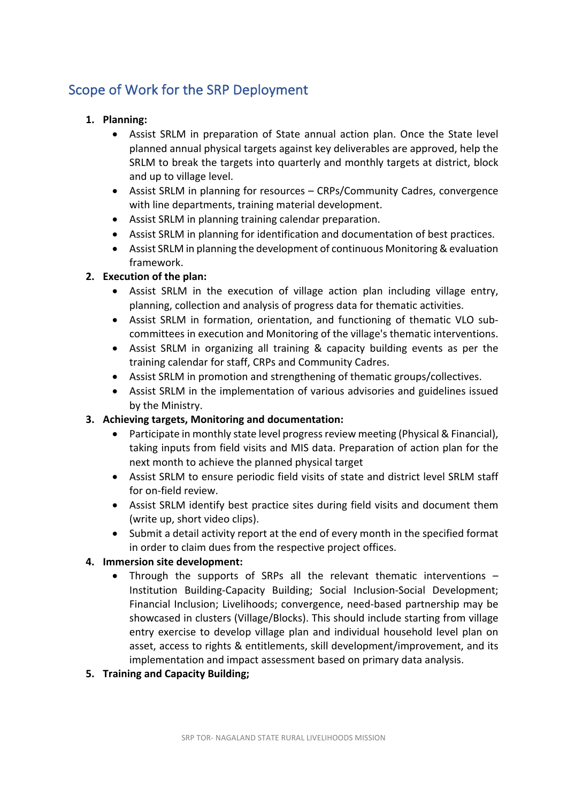# Scope of Work for the SRP Deployment

### **1. Planning:**

- Assist SRLM in preparation of State annual action plan. Once the State level planned annual physical targets against key deliverables are approved, help the SRLM to break the targets into quarterly and monthly targets at district, block and up to village level.
- Assist SRLM in planning for resources CRPs/Community Cadres, convergence with line departments, training material development.
- Assist SRLM in planning training calendar preparation.
- Assist SRLM in planning for identification and documentation of best practices.
- Assist SRLM in planning the development of continuous Monitoring & evaluation framework.

### **2.** Execution of the plan:

- Assist SRLM in the execution of village action plan including village entry, planning, collection and analysis of progress data for thematic activities.
- Assist SRLM in formation, orientation, and functioning of thematic VLO subcommittees in execution and Monitoring of the village's thematic interventions.
- Assist SRLM in organizing all training & capacity building events as per the training calendar for staff, CRPs and Community Cadres.
- Assist SRLM in promotion and strengthening of thematic groups/collectives.
- Assist SRLM in the implementation of various advisories and guidelines issued by the Ministry.

### **3.** Achieving targets, Monitoring and documentation:

- Participate in monthly state level progress review meeting (Physical & Financial), taking inputs from field visits and MIS data. Preparation of action plan for the next month to achieve the planned physical target
- Assist SRLM to ensure periodic field visits of state and district level SRLM staff for on-field review.
- Assist SRLM identify best practice sites during field visits and document them (write up, short video clips).
- Submit a detail activity report at the end of every month in the specified format in order to claim dues from the respective project offices.

### **4. Immersion site development:**

Through the supports of SRPs all the relevant thematic interventions  $-$ Institution Building-Capacity Building; Social Inclusion-Social Development; Financial Inclusion; Livelihoods; convergence, need-based partnership may be showcased in clusters (Village/Blocks). This should include starting from village entry exercise to develop village plan and individual household level plan on asset, access to rights & entitlements, skill development/improvement, and its implementation and impact assessment based on primary data analysis.

### **5. Training and Capacity Building;**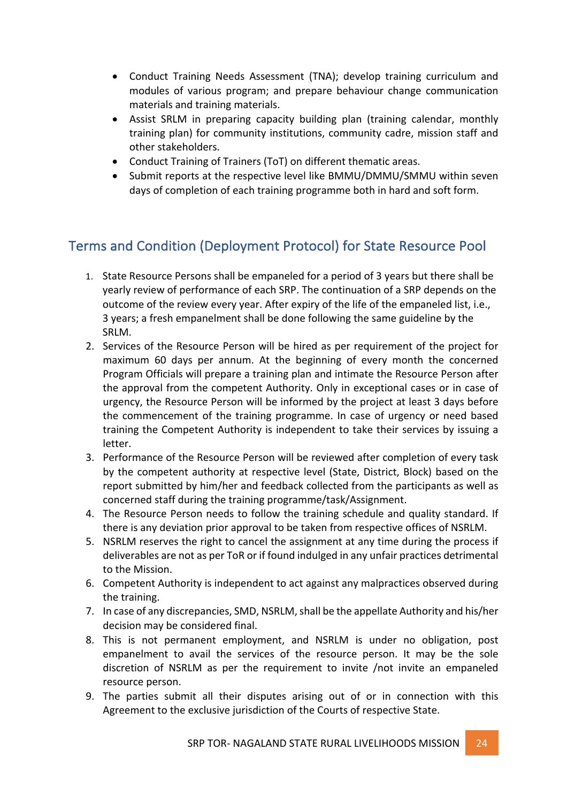- Conduct Training Needs Assessment (TNA); develop training curriculum and modules of various program; and prepare behaviour change communication materials and training materials.
- Assist SRLM in preparing capacity building plan (training calendar, monthly training plan) for community institutions, community cadre, mission staff and other stakeholders.
- Conduct Training of Trainers (ToT) on different thematic areas.
- Submit reports at the respective level like BMMU/DMMU/SMMU within seven days of completion of each training programme both in hard and soft form.

# Terms and Condition (Deployment Protocol) for State Resource Pool

- 1. State Resource Persons shall be empaneled for a period of 3 years but there shall be yearly review of performance of each SRP. The continuation of a SRP depends on the outcome of the review every year. After expiry of the life of the empaneled list, i.e., 3 years; a fresh empanelment shall be done following the same guideline by the SRLM.
- 2. Services of the Resource Person will be hired as per requirement of the project for maximum 60 days per annum. At the beginning of every month the concerned Program Officials will prepare a training plan and intimate the Resource Person after the approval from the competent Authority. Only in exceptional cases or in case of urgency, the Resource Person will be informed by the project at least 3 days before the commencement of the training programme. In case of urgency or need based training the Competent Authority is independent to take their services by issuing a letter.
- 3. Performance of the Resource Person will be reviewed after completion of every task by the competent authority at respective level (State, District, Block) based on the report submitted by him/her and feedback collected from the participants as well as concerned staff during the training programme/task/Assignment.
- 4. The Resource Person needs to follow the training schedule and quality standard. If there is any deviation prior approval to be taken from respective offices of NSRLM.
- 5. NSRLM reserves the right to cancel the assignment at any time during the process if deliverables are not as per ToR or if found indulged in any unfair practices detrimental to the Mission.
- 6. Competent Authority is independent to act against any malpractices observed during the training.
- 7. In case of any discrepancies, SMD, NSRLM, shall be the appellate Authority and his/her decision may be considered final.
- 8. This is not permanent employment, and NSRLM is under no obligation, post empanelment to avail the services of the resource person. It may be the sole discretion of NSRLM as per the requirement to invite /not invite an empaneled resource person.
- 9. The parties submit all their disputes arising out of or in connection with this Agreement to the exclusive jurisdiction of the Courts of respective State.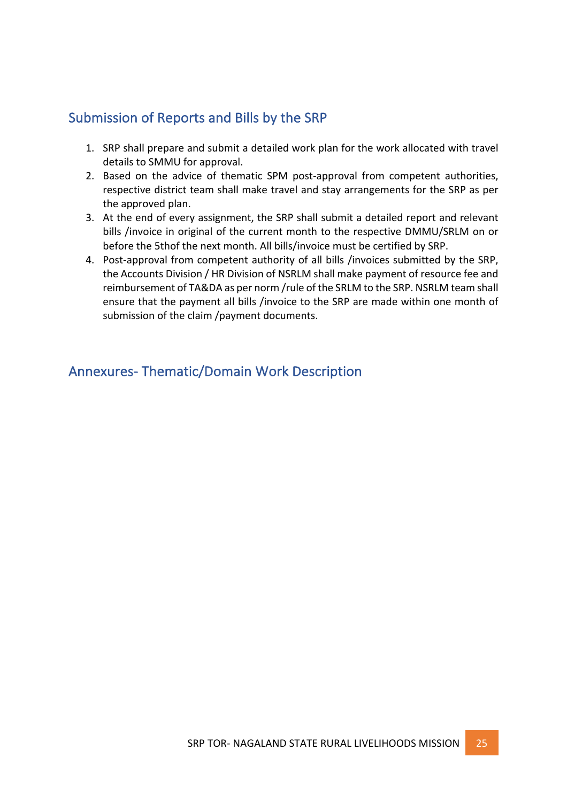### Submission of Reports and Bills by the SRP

- 1. SRP shall prepare and submit a detailed work plan for the work allocated with travel details to SMMU for approval.
- 2. Based on the advice of thematic SPM post-approval from competent authorities, respective district team shall make travel and stay arrangements for the SRP as per the approved plan.
- 3. At the end of every assignment, the SRP shall submit a detailed report and relevant bills /invoice in original of the current month to the respective DMMU/SRLM on or before the 5thof the next month. All bills/invoice must be certified by SRP.
- 4. Post-approval from competent authority of all bills /invoices submitted by the SRP, the Accounts Division / HR Division of NSRLM shall make payment of resource fee and reimbursement of TA&DA as per norm /rule of the SRLM to the SRP. NSRLM team shall ensure that the payment all bills /invoice to the SRP are made within one month of submission of the claim /payment documents.

Annexures- Thematic/Domain Work Description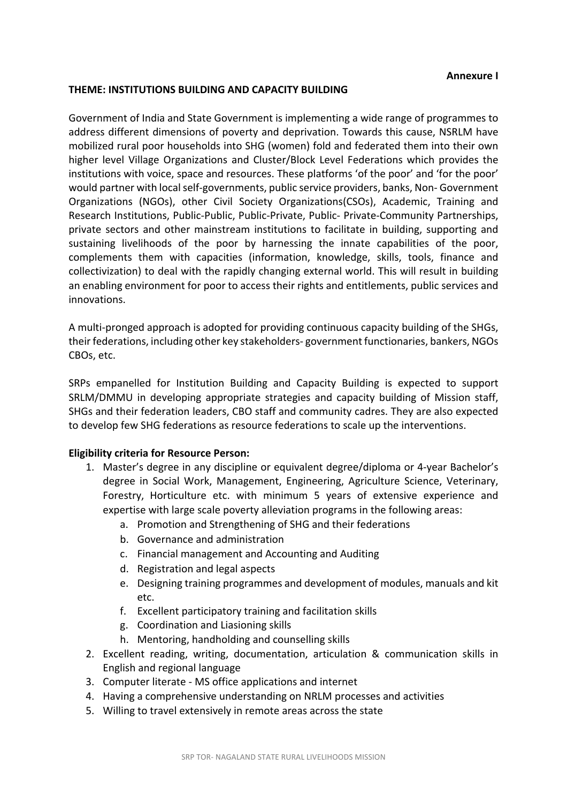#### **Annexure I**

#### **THEME: INSTITUTIONS BUILDING AND CAPACITY BUILDING**

Government of India and State Government is implementing a wide range of programmes to address different dimensions of poverty and deprivation. Towards this cause, NSRLM have mobilized rural poor households into SHG (women) fold and federated them into their own higher level Village Organizations and Cluster/Block Level Federations which provides the institutions with voice, space and resources. These platforms 'of the poor' and 'for the poor' would partner with local self-governments, public service providers, banks, Non- Government Organizations (NGOs), other Civil Society Organizations(CSOs), Academic, Training and Research Institutions, Public-Public, Public-Private, Public- Private-Community Partnerships, private sectors and other mainstream institutions to facilitate in building, supporting and sustaining livelihoods of the poor by harnessing the innate capabilities of the poor, complements them with capacities (information, knowledge, skills, tools, finance and collectivization) to deal with the rapidly changing external world. This will result in building an enabling environment for poor to access their rights and entitlements, public services and innovations.

A multi-pronged approach is adopted for providing continuous capacity building of the SHGs, their federations, including other key stakeholders- government functionaries, bankers, NGOs CBOs, etc.

SRPs empanelled for Institution Building and Capacity Building is expected to support SRLM/DMMU in developing appropriate strategies and capacity building of Mission staff, SHGs and their federation leaders, CBO staff and community cadres. They are also expected to develop few SHG federations as resource federations to scale up the interventions.

- 1. Master's degree in any discipline or equivalent degree/diploma or 4-year Bachelor's degree in Social Work, Management, Engineering, Agriculture Science, Veterinary, Forestry, Horticulture etc. with minimum 5 years of extensive experience and expertise with large scale poverty alleviation programs in the following areas:
	- a. Promotion and Strengthening of SHG and their federations
	- b. Governance and administration
	- c. Financial management and Accounting and Auditing
	- d. Registration and legal aspects
	- e. Designing training programmes and development of modules, manuals and kit etc.
	- f. Excellent participatory training and facilitation skills
	- g. Coordination and Liasioning skills
	- h. Mentoring, handholding and counselling skills
- 2. Excellent reading, writing, documentation, articulation & communication skills in English and regional language
- 3. Computer literate MS office applications and internet
- 4. Having a comprehensive understanding on NRLM processes and activities
- 5. Willing to travel extensively in remote areas across the state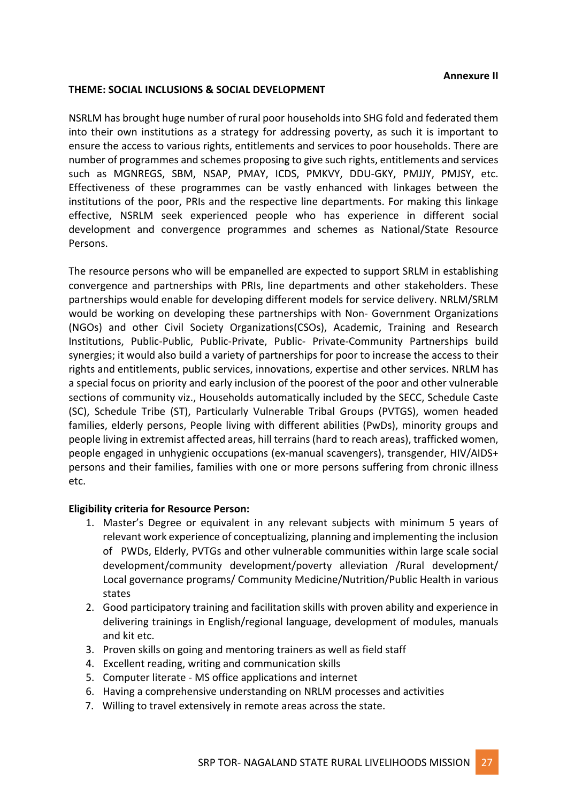### **Annexure II**

### **THEME: SOCIAL INCLUSIONS & SOCIAL DEVELOPMENT**

NSRLM has brought huge number of rural poor households into SHG fold and federated them into their own institutions as a strategy for addressing poverty, as such it is important to ensure the access to various rights, entitlements and services to poor households. There are number of programmes and schemes proposing to give such rights, entitlements and services such as MGNREGS, SBM, NSAP, PMAY, ICDS, PMKVY, DDU-GKY, PMJJY, PMJSY, etc. Effectiveness of these programmes can be vastly enhanced with linkages between the institutions of the poor, PRIs and the respective line departments. For making this linkage effective, NSRLM seek experienced people who has experience in different social development and convergence programmes and schemes as National/State Resource Persons. 

The resource persons who will be empanelled are expected to support SRLM in establishing convergence and partnerships with PRIs, line departments and other stakeholders. These partnerships would enable for developing different models for service delivery. NRLM/SRLM would be working on developing these partnerships with Non- Government Organizations (NGOs) and other Civil Society Organizations(CSOs), Academic, Training and Research Institutions, Public-Public, Public-Private, Public- Private-Community Partnerships build synergies; it would also build a variety of partnerships for poor to increase the access to their rights and entitlements, public services, innovations, expertise and other services. NRLM has a special focus on priority and early inclusion of the poorest of the poor and other vulnerable sections of community viz., Households automatically included by the SECC, Schedule Caste (SC), Schedule Tribe (ST), Particularly Vulnerable Tribal Groups (PVTGS), women headed families, elderly persons, People living with different abilities (PwDs), minority groups and people living in extremist affected areas, hill terrains (hard to reach areas), trafficked women, people engaged in unhygienic occupations (ex-manual scavengers), transgender, HIV/AIDS+ persons and their families, families with one or more persons suffering from chronic illness etc. 

- 1. Master's Degree or equivalent in any relevant subjects with minimum 5 years of relevant work experience of conceptualizing, planning and implementing the inclusion of PWDs, Elderly, PVTGs and other vulnerable communities within large scale social development/community development/poverty alleviation /Rural development/ Local governance programs/ Community Medicine/Nutrition/Public Health in various states
- 2. Good participatory training and facilitation skills with proven ability and experience in delivering trainings in English/regional language, development of modules, manuals and kit etc.
- 3. Proven skills on going and mentoring trainers as well as field staff
- 4. Excellent reading, writing and communication skills
- 5. Computer literate MS office applications and internet
- 6. Having a comprehensive understanding on NRLM processes and activities
- 7. Willing to travel extensively in remote areas across the state.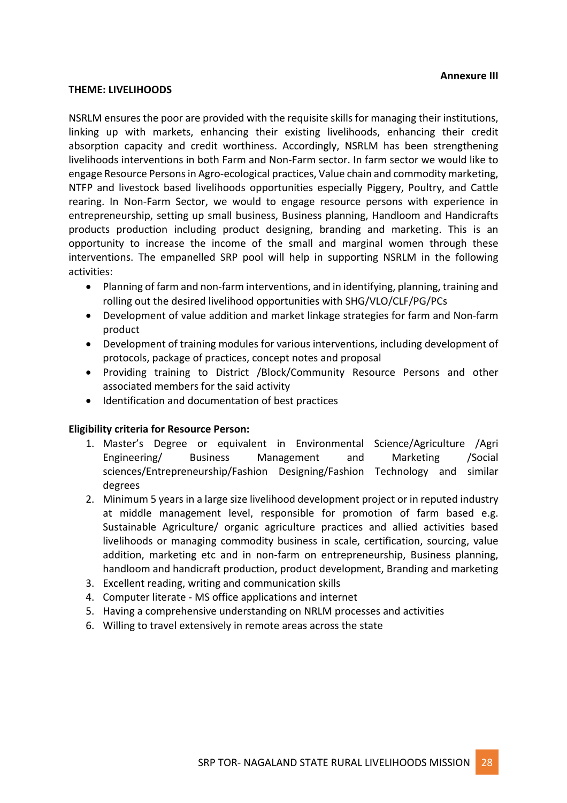#### **Annexure III**

#### **THEME: LIVELIHOODS**

NSRLM ensures the poor are provided with the requisite skills for managing their institutions, linking up with markets, enhancing their existing livelihoods, enhancing their credit absorption capacity and credit worthiness. Accordingly, NSRLM has been strengthening livelihoods interventions in both Farm and Non-Farm sector. In farm sector we would like to engage Resource Persons in Agro-ecological practices, Value chain and commodity marketing, NTFP and livestock based livelihoods opportunities especially Piggery, Poultry, and Cattle rearing. In Non-Farm Sector, we would to engage resource persons with experience in entrepreneurship, setting up small business, Business planning, Handloom and Handicrafts products production including product designing, branding and marketing. This is an opportunity to increase the income of the small and marginal women through these interventions. The empanelled SRP pool will help in supporting NSRLM in the following activities:

- Planning of farm and non-farm interventions, and in identifying, planning, training and rolling out the desired livelihood opportunities with SHG/VLO/CLF/PG/PCs
- Development of value addition and market linkage strategies for farm and Non-farm product
- Development of training modules for various interventions, including development of protocols, package of practices, concept notes and proposal
- Providing training to District /Block/Community Resource Persons and other associated members for the said activity
- Identification and documentation of best practices

- 1. Master's Degree or equivalent in Environmental Science/Agriculture /Agri Engineering/ Business Management and Marketing /Social sciences/Entrepreneurship/Fashion Designing/Fashion Technology and similar degrees
- 2. Minimum 5 years in a large size livelihood development project or in reputed industry at middle management level, responsible for promotion of farm based e.g. Sustainable Agriculture/ organic agriculture practices and allied activities based livelihoods or managing commodity business in scale, certification, sourcing, value addition, marketing etc and in non-farm on entrepreneurship, Business planning, handloom and handicraft production, product development, Branding and marketing
- 3. Excellent reading, writing and communication skills
- 4. Computer literate MS office applications and internet
- 5. Having a comprehensive understanding on NRLM processes and activities
- 6. Willing to travel extensively in remote areas across the state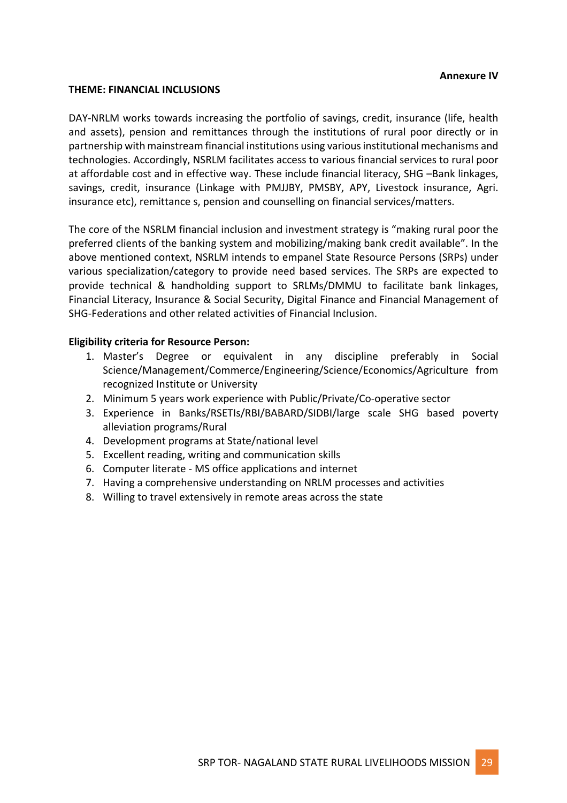#### **Annexure IV**

#### **THEME: FINANCIAL INCLUSIONS**

DAY-NRLM works towards increasing the portfolio of savings, credit, insurance (life, health and assets), pension and remittances through the institutions of rural poor directly or in partnership with mainstream financial institutions using various institutional mechanisms and technologies. Accordingly, NSRLM facilitates access to various financial services to rural poor at affordable cost and in effective way. These include financial literacy, SHG -Bank linkages, savings, credit, insurance (Linkage with PMJJBY, PMSBY, APY, Livestock insurance, Agri. insurance etc), remittance s, pension and counselling on financial services/matters.

The core of the NSRLM financial inclusion and investment strategy is "making rural poor the preferred clients of the banking system and mobilizing/making bank credit available". In the above mentioned context, NSRLM intends to empanel State Resource Persons (SRPs) under various specialization/category to provide need based services. The SRPs are expected to provide technical & handholding support to SRLMs/DMMU to facilitate bank linkages, Financial Literacy, Insurance & Social Security, Digital Finance and Financial Management of SHG-Federations and other related activities of Financial Inclusion.

- 1. Master's Degree or equivalent in any discipline preferably in Social Science/Management/Commerce/Engineering/Science/Economics/Agriculture from recognized Institute or University
- 2. Minimum 5 years work experience with Public/Private/Co-operative sector
- 3. Experience in Banks/RSETIs/RBI/BABARD/SIDBI/large scale SHG based poverty alleviation programs/Rural
- 4. Development programs at State/national level
- 5. Excellent reading, writing and communication skills
- 6. Computer literate MS office applications and internet
- 7. Having a comprehensive understanding on NRLM processes and activities
- 8. Willing to travel extensively in remote areas across the state